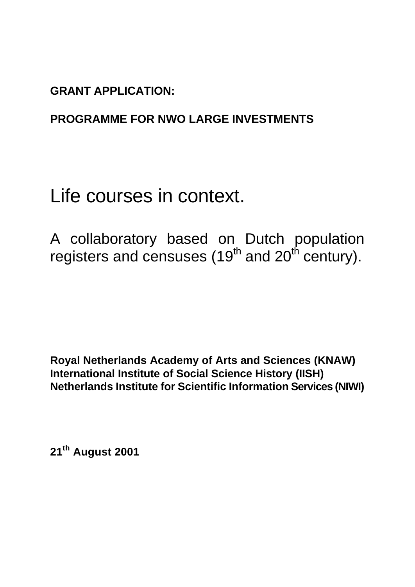**GRANT APPLICATION:**

# **PROGRAMME FOR NWO LARGE INVESTMENTS**

# Life courses in context.

A collaboratory based on Dutch population registers and censuses (19<sup>th</sup> and 20<sup>th</sup> century).

**Royal Netherlands Academy of Arts and Sciences (KNAW) International Institute of Social Science History (IISH) Netherlands Institute for Scientific Information Services (NIWI)**

**21th August 2001**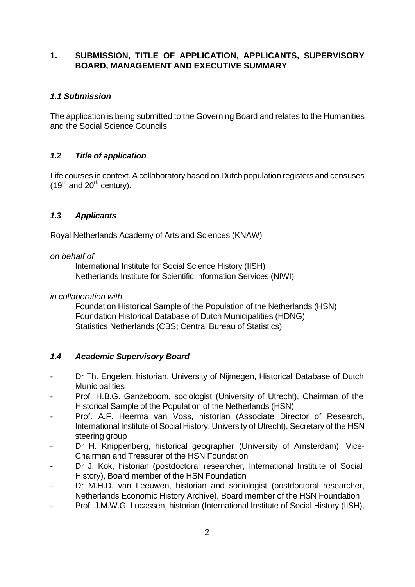## **1. SUBMISSION, TITLE OF APPLICATION, APPLICANTS, SUPERVISORY BOARD, MANAGEMENT AND EXECUTIVE SUMMARY**

## *1.1 Submission*

The application is being submitted to the Governing Board and relates to the Humanities and the Social Science Councils.

## *1.2 Title of application*

Life courses in context. A collaboratory based on Dutch population registers and censuses  $(19^{th}$  and  $20^{th}$  century).

## *1.3 Applicants*

Royal Netherlands Academy of Arts and Sciences (KNAW)

## *on behalf of*

International Institute for Social Science History (IISH) Netherlands Institute for Scientific Information Services (NIWI)

## *in collaboration with*

Foundation Historical Sample of the Population of the Netherlands (HSN) Foundation Historical Database of Dutch Municipalities (HDNG) Statistics Netherlands (CBS; Central Bureau of Statistics)

## *1.4 Academic Supervisory Board*

- Dr Th. Engelen, historian, University of Nijmegen, Historical Database of Dutch **Municipalities**
- Prof. H.B.G. Ganzeboom, sociologist (University of Utrecht), Chairman of the Historical Sample of the Population of the Netherlands (HSN)
- Prof. A.F. Heerma van Voss, historian (Associate Director of Research, International Institute of Social History, University of Utrecht), Secretary of the HSN steering group
- Dr H. Knippenberg, historical geographer (University of Amsterdam), Vice-Chairman and Treasurer of the HSN Foundation
- Dr J. Kok, historian (postdoctoral researcher, International Institute of Social History), Board member of the HSN Foundation
- Dr M.H.D. van Leeuwen, historian and sociologist (postdoctoral researcher, Netherlands Economic History Archive), Board member of the HSN Foundation
- Prof. J.M.W.G. Lucassen, historian (International Institute of Social History (IISH),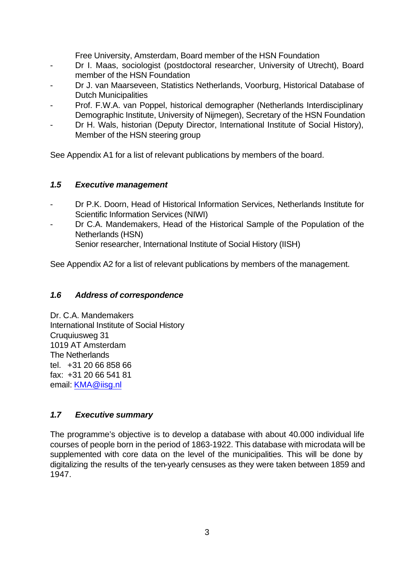Free University, Amsterdam, Board member of the HSN Foundation

- Dr I. Maas, sociologist (postdoctoral researcher, University of Utrecht), Board member of the HSN Foundation
- Dr J. van Maarseveen, Statistics Netherlands, Voorburg, Historical Database of Dutch Municipalities
- Prof. F.W.A. van Poppel, historical demographer (Netherlands Interdisciplinary Demographic Institute, University of Nijmegen), Secretary of the HSN Foundation
- Dr H. Wals, historian (Deputy Director, International Institute of Social History), Member of the HSN steering group

See Appendix A1 for a list of relevant publications by members of the board.

## *1.5 Executive management*

- Dr P.K. Doorn, Head of Historical Information Services, Netherlands Institute for Scientific Information Services (NIWI)
- Dr C.A. Mandemakers, Head of the Historical Sample of the Population of the Netherlands (HSN) Senior researcher, International Institute of Social History (IISH)

See Appendix A2 for a list of relevant publications by members of the management.

## *1.6 Address of correspondence*

Dr. C.A. Mandemakers International Institute of Social History Cruquiusweg 31 1019 AT Amsterdam The Netherlands tel. +31 20 66 858 66 fax: +31 20 66 541 81 email: KMA@iisg.nl

## *1.7 Executive summary*

The programme's objective is to develop a database with about 40.000 individual life courses of people born in the period of 1863-1922. This database with microdata will be supplemented with core data on the level of the municipalities. This will be done by digitalizing the results of the ten-yearly censuses as they were taken between 1859 and 1947.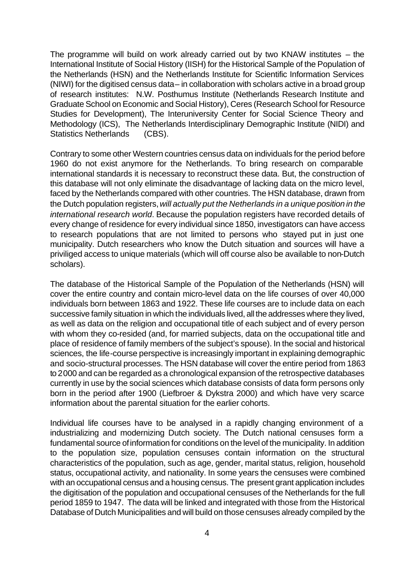The programme will build on work already carried out by two KNAW institutes – the International Institute of Social History (IISH) for the Historical Sample of the Population of the Netherlands (HSN) and the Netherlands Institute for Scientific Information Services (NIWI) for the digitised census data – in collaboration with scholars active in a broad group of research institutes: N.W. Posthumus Institute (Netherlands Research Institute and Graduate School on Economic and Social History), Ceres (Research School for Resource Studies for Development), The Interuniversity Center for Social Science Theory and Methodology (ICS), The Netherlands Interdisciplinary Demographic Institute (NIDI) and Statistics Netherlands (CBS).

Contrary to some other Western countries census data on individuals for the period before 1960 do not exist anymore for the Netherlands. To bring research on comparable international standards it is necessary to reconstruct these data. But, the construction of this database will not only eliminate the disadvantage of lacking data on the micro level, faced by the Netherlands compared with other countries. The HSN database, drawn from the Dutch population registers, *will actually put the Netherlands in a unique position in the international research world*. Because the population registers have recorded details of every change of residence for every individual since 1850, investigators can have access to research populations that are not limited to persons who stayed put in just one municipality. Dutch researchers who know the Dutch situation and sources will have a priviliged access to unique materials (which will off course also be available to non-Dutch scholars).

The database of the Historical Sample of the Population of the Netherlands (HSN) will cover the entire country and contain micro-level data on the life courses of over 40,000 individuals born between 1863 and 1922. These life courses are to include data on each successive family situation in which the individuals lived, all the addresses where they lived, as well as data on the religion and occupational title of each subject and of every person with whom they co-resided (and, for married subjects, data on the occupational title and place of residence of family members of the subject's spouse). In the social and historical sciences, the life-course perspective is increasingly important in explaining demographic and socio-structural processes. The HSN database will cover the entire period from 1863 to 2000 and can be regarded as a chronological expansion of the retrospective databases currently in use by the social sciences which database consists of data form persons only born in the period after 1900 (Liefbroer & Dykstra 2000) and which have very scarce information about the parental situation for the earlier cohorts.

Individual life courses have to be analysed in a rapidly changing environment of a industrializing and modernizing Dutch society. The Dutch national censuses form a fundamental source of information for conditions on the level of the municipality. In addition to the population size, population censuses contain information on the structural characteristics of the population, such as age, gender, marital status, religion, household status, occupational activity, and nationality. In some years the censuses were combined with an occupational census and a housing census. The present grant application includes the digitisation of the population and occupational censuses of the Netherlands for the full period 1859 to 1947. The data will be linked and integrated with those from the Historical Database of Dutch Municipalities and will build on those censuses already compiled by the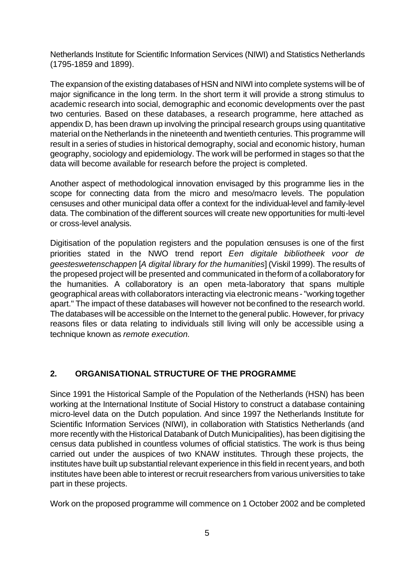Netherlands Institute for Scientific Information Services (NIWI) and Statistics Netherlands (1795-1859 and 1899).

The expansion of the existing databases of HSN and NIWI into complete systems will be of major significance in the long term. In the short term it will provide a strong stimulus to academic research into social, demographic and economic developments over the past two centuries. Based on these databases, a research programme, here attached as appendix D, has been drawn up involving the principal research groups using quantitative material on the Netherlands in the nineteenth and twentieth centuries. This programme will result in a series of studies in historical demography, social and economic history, human geography, sociology and epidemiology. The work will be performed in stages so that the data will become available for research before the project is completed.

Another aspect of methodological innovation envisaged by this programme lies in the scope for connecting data from the micro and meso/macro levels. The population censuses and other municipal data offer a context for the individual-level and family-level data. The combination of the different sources will create new opportunities for multi-level or cross-level analysis.

Digitisation of the population registers and the population censuses is one of the first priorities stated in the NWO trend report *Een digitale bibliotheek voor de geesteswetenschappen* [*A digital library for the humanities*] (Viskil 1999). The results of the propesed project will be presented and communicated in the form of a collaboratory for the humanities. A collaboratory is an open meta-laboratory that spans multiple geographical areas with collaborators interacting via electronic means - "working together apart." The impact of these databases will however not be confined to the research world. The databases will be accessible on the Internet to the general public. However, for privacy reasons files or data relating to individuals still living will only be accessible using a technique known as *remote execution.*

## **2. ORGANISATIONAL STRUCTURE OF THE PROGRAMME**

Since 1991 the Historical Sample of the Population of the Netherlands (HSN) has been working at the International Institute of Social History to construct a database containing micro-level data on the Dutch population. And since 1997 the Netherlands Institute for Scientific Information Services (NIWI), in collaboration with Statistics Netherlands (and more recently with the Historical Databank of Dutch Municipalities), has been digitising the census data published in countless volumes of official statistics. The work is thus being carried out under the auspices of two KNAW institutes. Through these projects, the institutes have built up substantial relevant experience in this field in recent years, and both institutes have been able to interest or recruit researchers from various universities to take part in these projects.

Work on the proposed programme will commence on 1 October 2002 and be completed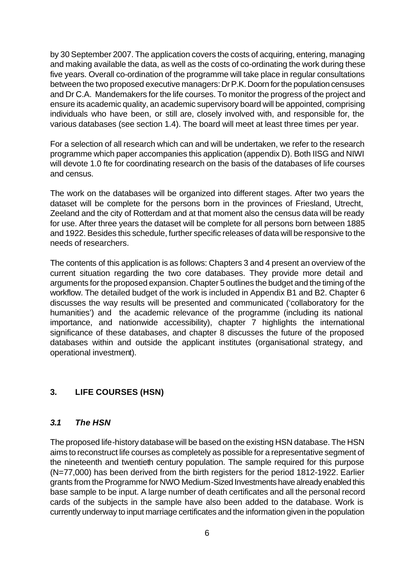by 30 September 2007. The application covers the costs of acquiring, entering, managing and making available the data, as well as the costs of co-ordinating the work during these five years. Overall co-ordination of the programme will take place in regular consultations between the two proposed executive managers: Dr P.K. Doorn for the population censuses and Dr C.A. Mandemakers for the life courses. To monitor the progress of the project and ensure its academic quality, an academic supervisory board will be appointed, comprising individuals who have been, or still are, closely involved with, and responsible for, the various databases (see section 1.4). The board will meet at least three times per year.

For a selection of all research which can and will be undertaken, we refer to the research programme which paper accompanies this application (appendix D). Both IISG and NIWI will devote 1.0 fte for coordinating research on the basis of the databases of life courses and census.

The work on the databases will be organized into different stages. After two years the dataset will be complete for the persons born in the provinces of Friesland, Utrecht, Zeeland and the city of Rotterdam and at that moment also the census data will be ready for use. After three years the dataset will be complete for all persons born between 1885 and 1922. Besides this schedule, further specific releases of data will be responsive to the needs of researchers.

The contents of this application is as follows: Chapters 3 and 4 present an overview of the current situation regarding the two core databases. They provide more detail and arguments for the proposed expansion. Chapter 5 outlines the budget and the timing of the workflow. The detailed budget of the work is included in Appendix B1 and B2. Chapter 6 discusses the way results will be presented and communicated ('collaboratory for the humanities') and the academic relevance of the programme (including its national importance, and nationwide accessibility), chapter 7 highlights the international significance of these databases, and chapter 8 discusses the future of the proposed databases within and outside the applicant institutes (organisational strategy, and operational investment).

#### **3. LIFE COURSES (HSN)**

#### *3.1 The HSN*

The proposed life-history database will be based on the existing HSN database. The HSN aims to reconstruct life courses as completely as possible for a representative segment of the nineteenth and twentieth century population. The sample required for this purpose (N=77,000) has been derived from the birth registers for the period 1812-1922. Earlier grants from the Programme for NWO Medium-Sized Investments have already enabled this base sample to be input. A large number of death certificates and all the personal record cards of the subjects in the sample have also been added to the database. Work is currently underway to input marriage certificates and the information given in the population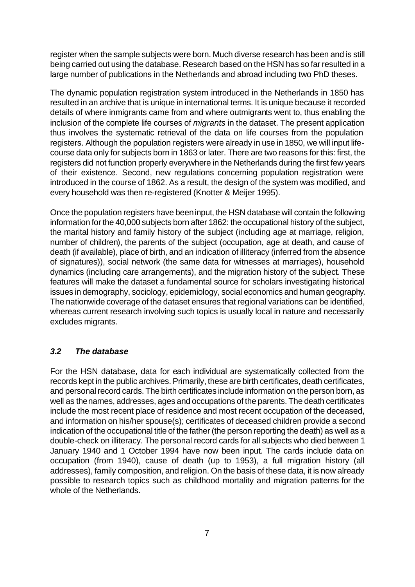register when the sample subjects were born. Much diverse research has been and is still being carried out using the database. Research based on the HSN has so far resulted in a large number of publications in the Netherlands and abroad including two PhD theses.

The dynamic population registration system introduced in the Netherlands in 1850 has resulted in an archive that is unique in international terms. It is unique because it recorded details of where inmigrants came from and where outmigrants went to, thus enabling the inclusion of the complete life courses of *migrants* in the dataset. The present application thus involves the systematic retrieval of the data on life courses from the population registers. Although the population registers were already in use in 1850, we will input lifecourse data only for subjects born in 1863 or later. There are two reasons for this: first, the registers did not function properly everywhere in the Netherlands during the first few years of their existence. Second, new regulations concerning population registration were introduced in the course of 1862. As a result, the design of the system was modified, and every household was then re-registered (Knotter & Meijer 1995).

Once the population registers have been input, the HSN database will contain the following information for the 40,000 subjects born after 1862: the occupational history of the subject, the marital history and family history of the subject (including age at marriage, religion, number of children), the parents of the subject (occupation, age at death, and cause of death (if available), place of birth, and an indication of illiteracy (inferred from the absence of signatures)), social network (the same data for witnesses at marriages), household dynamics (including care arrangements), and the migration history of the subject. These features will make the dataset a fundamental source for scholars investigating historical issues in demography, sociology, epidemiology, social economics and human geography. The nationwide coverage of the dataset ensures that regional variations can be identified, whereas current research involving such topics is usually local in nature and necessarily excludes migrants.

## *3.2 The database*

For the HSN database, data for each individual are systematically collected from the records kept in the public archives. Primarily, these are birth certificates, death certificates, and personal record cards. The birth certificates include information on the person born, as well as the names, addresses, ages and occupations of the parents. The death certificates include the most recent place of residence and most recent occupation of the deceased, and information on his/her spouse(s); certificates of deceased children provide a second indication of the occupational title of the father (the person reporting the death) as well as a double-check on illiteracy. The personal record cards for all subjects who died between 1 January 1940 and 1 October 1994 have now been input. The cards include data on occupation (from 1940), cause of death (up to 1953), a full migration history (all addresses), family composition, and religion. On the basis of these data, it is now already possible to research topics such as childhood mortality and migration patterns for the whole of the Netherlands.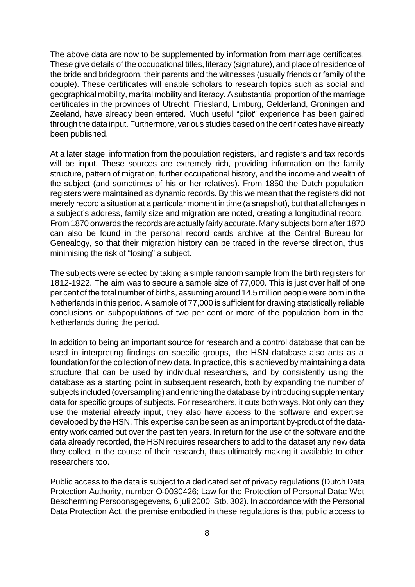The above data are now to be supplemented by information from marriage certificates. These give details of the occupational titles, literacy (signature), and place of residence of the bride and bridegroom, their parents and the witnesses (usually friends or family of the couple). These certificates will enable scholars to research topics such as social and geographical mobility, marital mobility and literacy. A substantial proportion of the marriage certificates in the provinces of Utrecht, Friesland, Limburg, Gelderland, Groningen and Zeeland, have already been entered. Much useful "pilot" experience has been gained through the data input. Furthermore, various studies based on the certificates have already been published.

At a later stage, information from the population registers, land registers and tax records will be input. These sources are extremely rich, providing information on the family structure, pattern of migration, further occupational history, and the income and wealth of the subject (and sometimes of his or her relatives). From 1850 the Dutch population registers were maintained as dynamic records. By this we mean that the registers did not merely record a situation at a particular moment in time (a snapshot), but that all changes in a subject's address, family size and migration are noted, creating a longitudinal record. From 1870 onwards the records are actually fairly accurate. Many subjects born after 1870 can also be found in the personal record cards archive at the Central Bureau for Genealogy, so that their migration history can be traced in the reverse direction, thus minimising the risk of "losing" a subject.

The subjects were selected by taking a simple random sample from the birth registers for 1812-1922. The aim was to secure a sample size of 77,000. This is just over half of one per cent of the total number of births, assuming around 14.5 million people were born in the Netherlands in this period. A sample of 77,000 is sufficient for drawing statistically reliable conclusions on subpopulations of two per cent or more of the population born in the Netherlands during the period.

In addition to being an important source for research and a control database that can be used in interpreting findings on specific groups, the HSN database also acts as a foundation for the collection of new data. In practice, this is achieved by maintaining a data structure that can be used by individual researchers, and by consistently using the database as a starting point in subsequent research, both by expanding the number of subjects included (oversampling) and enriching the database by introducing supplementary data for specific groups of subjects. For researchers, it cuts both ways. Not only can they use the material already input, they also have access to the software and expertise developed by the HSN. This expertise can be seen as an important by-product of the dataentry work carried out over the past ten years. In return for the use of the software and the data already recorded, the HSN requires researchers to add to the dataset any new data they collect in the course of their research, thus ultimately making it available to other researchers too.

Public access to the data is subject to a dedicated set of privacy regulations (Dutch Data Protection Authority, number O-0030426; Law for the Protection of Personal Data: Wet Bescherming Persoonsgegevens, 6 juli 2000, Stb. 302). In accordance with the Personal Data Protection Act, the premise embodied in these regulations is that public access to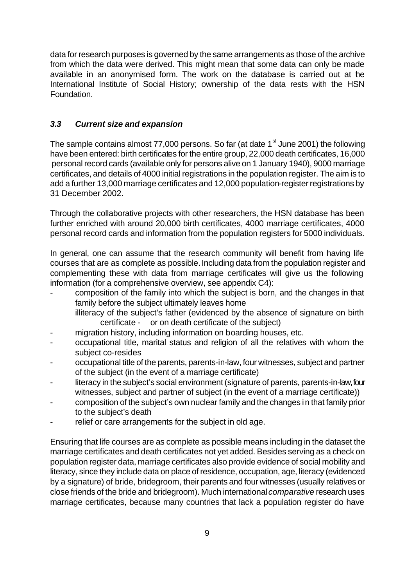data for research purposes is governed by the same arrangements as those of the archive from which the data were derived. This might mean that some data can only be made available in an anonymised form. The work on the database is carried out at the International Institute of Social History; ownership of the data rests with the HSN Foundation.

## *3.3 Current size and expansion*

The sample contains almost 77,000 persons. So far (at date  $1<sup>st</sup>$  June 2001) the following have been entered: birth certificates for the entire group, 22,000 death certificates, 16,000 personal record cards (available only for persons alive on 1 January 1940), 9000 marriage certificates, and details of 4000 initial registrations in the population register. The aim is to add a further 13,000 marriage certificates and 12,000 population-register registrations by 31 December 2002.

Through the collaborative projects with other researchers, the HSN database has been further enriched with around 20,000 birth certificates, 4000 marriage certificates, 4000 personal record cards and information from the population registers for 5000 individuals.

In general, one can assume that the research community will benefit from having life courses that are as complete as possible. Including data from the population register and complementing these with data from marriage certificates will give us the following information (for a comprehensive overview, see appendix C4):

- composition of the family into which the subject is born, and the changes in that family before the subject ultimately leaves home illiteracy of the subject's father (evidenced by the absence of signature on birth certificate - or on death certificate of the subject)
- migration history, including information on boarding houses, etc.
- occupational title, marital status and religion of all the relatives with whom the subject co-resides
- occupational title of the parents, parents-in-law, four witnesses, subject and partner of the subject (in the event of a marriage certificate)
- literacy in the subject's social environment (signature of parents, parents-in-law, four witnesses, subject and partner of subject (in the event of a marriage certificate))
- composition of the subject's own nuclear family and the changes in that family prior to the subject's death
- relief or care arrangements for the subject in old age.

Ensuring that life courses are as complete as possible means including in the dataset the marriage certificates and death certificates not yet added. Besides serving as a check on population register data, marriage certificates also provide evidence of social mobility and literacy, since they include data on place of residence, occupation, age, literacy (evidenced by a signature) of bride, bridegroom, their parents and four witnesses (usually relatives or close friends of the bride and bridegroom). Much international *comparative* research uses marriage certificates, because many countries that lack a population register do have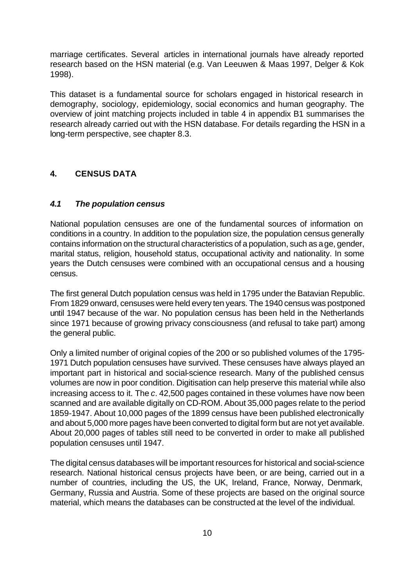marriage certificates. Several articles in international journals have already reported research based on the HSN material (e.g. Van Leeuwen & Maas 1997, Delger & Kok 1998).

This dataset is a fundamental source for scholars engaged in historical research in demography, sociology, epidemiology, social economics and human geography. The overview of joint matching projects included in table 4 in appendix B1 summarises the research already carried out with the HSN database. For details regarding the HSN in a long-term perspective, see chapter 8.3.

## **4. CENSUS DATA**

#### *4.1 The population census*

National population censuses are one of the fundamental sources of information on conditions in a country. In addition to the population size, the population census generally contains information on the structural characteristics of a population, such as age, gender, marital status, religion, household status, occupational activity and nationality. In some years the Dutch censuses were combined with an occupational census and a housing census.

The first general Dutch population census was held in 1795 under the Batavian Republic. From 1829 onward, censuses were held every ten years. The 1940 census was postponed until 1947 because of the war. No population census has been held in the Netherlands since 1971 because of growing privacy consciousness (and refusal to take part) among the general public.

Only a limited number of original copies of the 200 or so published volumes of the 1795- 1971 Dutch population censuses have survived. These censuses have always played an important part in historical and social-science research. Many of the published census volumes are now in poor condition. Digitisation can help preserve this material while also increasing access to it. The *c*. 42,500 pages contained in these volumes have now been scanned and are available digitally on CD-ROM. About 35,000 pages relate to the period 1859-1947. About 10,000 pages of the 1899 census have been published electronically and about 5,000 more pages have been converted to digital form but are not yet available. About 20,000 pages of tables still need to be converted in order to make all published population censuses until 1947.

The digital census databases will be important resources for historical and social-science research. National historical census projects have been, or are being, carried out in a number of countries, including the US, the UK, Ireland, France, Norway, Denmark, Germany, Russia and Austria. Some of these projects are based on the original source material, which means the databases can be constructed at the level of the individual.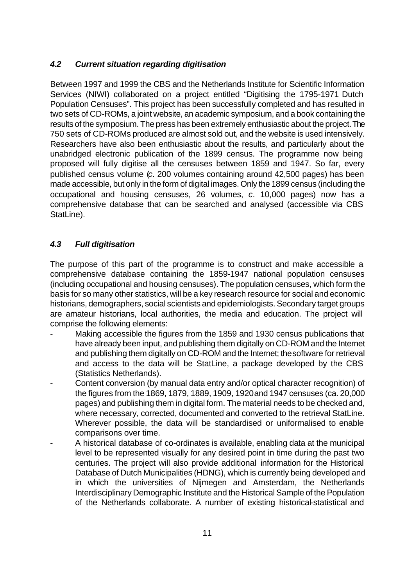## *4.2 Current situation regarding digitisation*

Between 1997 and 1999 the CBS and the Netherlands Institute for Scientific Information Services (NIWI) collaborated on a project entitled "Digitising the 1795-1971 Dutch Population Censuses". This project has been successfully completed and has resulted in two sets of CD-ROMs, a joint website, an academic symposium, and a book containing the results of the symposium. The press has been extremely enthusiastic about the project. The 750 sets of CD-ROMs produced are almost sold out, and the website is used intensively. Researchers have also been enthusiastic about the results, and particularly about the unabridged electronic publication of the 1899 census. The programme now being proposed will fully digitise all the censuses between 1859 and 1947. So far, every published census volume (*c*. 200 volumes containing around 42,500 pages) has been made accessible, but only in the form of digital images. Only the 1899 census (including the occupational and housing censuses, 26 volumes, *c*. 10,000 pages) now has a comprehensive database that can be searched and analysed (accessible via CBS StatLine).

## *4.3 Full digitisation*

The purpose of this part of the programme is to construct and make accessible a comprehensive database containing the 1859-1947 national population censuses (including occupational and housing censuses). The population censuses, which form the basis for so many other statistics, will be a key research resource for social and economic historians, demographers, social scientists and epidemiologists. Secondary target groups are amateur historians, local authorities, the media and education. The project will comprise the following elements:

- Making accessible the figures from the 1859 and 1930 census publications that have already been input, and publishing them digitally on CD-ROM and the Internet and publishing them digitally on CD-ROM and the Internet; the software for retrieval and access to the data will be StatLine, a package developed by the CBS (Statistics Netherlands).
- Content conversion (by manual data entry and/or optical character recognition) of the figures from the 1869, 1879, 1889, 1909, 1920 and 1947 censuses (ca. 20,000 pages) and publishing them in digital form. The material needs to be checked and, where necessary, corrected, documented and converted to the retrieval StatLine. Wherever possible, the data will be standardised or uniformalised to enable comparisons over time.
- A historical database of co-ordinates is available, enabling data at the municipal level to be represented visually for any desired point in time during the past two centuries. The project will also provide additional information for the Historical Database of Dutch Municipalities (HDNG), which is currently being developed and in which the universities of Nijmegen and Amsterdam, the Netherlands Interdisciplinary Demographic Institute and the Historical Sample of the Population of the Netherlands collaborate. A number of existing historical-statistical and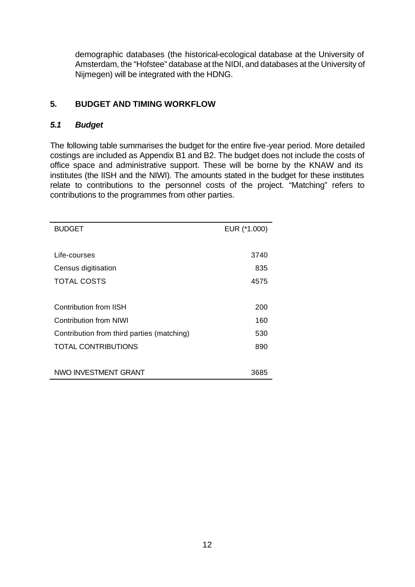demographic databases (the historical-ecological database at the University of Amsterdam, the "Hofstee" database at the NIDI, and databases at the University of Nijmegen) will be integrated with the HDNG.

## **5. BUDGET AND TIMING WORKFLOW**

## *5.1 Budget*

The following table summarises the budget for the entire five-year period. More detailed costings are included as Appendix B1 and B2. The budget does not include the costs of office space and administrative support. These will be borne by the KNAW and its institutes (the IISH and the NIWI). The amounts stated in the budget for these institutes relate to contributions to the personnel costs of the project. "Matching" refers to contributions to the programmes from other parties.

| <b>BUDGET</b>                              | EUR (*1.000) |
|--------------------------------------------|--------------|
|                                            |              |
| Life-courses                               | 3740         |
| Census digitisation                        | 835          |
| <b>TOTAL COSTS</b>                         | 4575         |
|                                            |              |
| Contribution from IISH                     | 200          |
| Contribution from NIWI                     | 160          |
| Contribution from third parties (matching) | 530          |
| <b>TOTAL CONTRIBUTIONS</b>                 | 890          |
|                                            |              |
| NWO INVESTMENT GRANT                       | 3685         |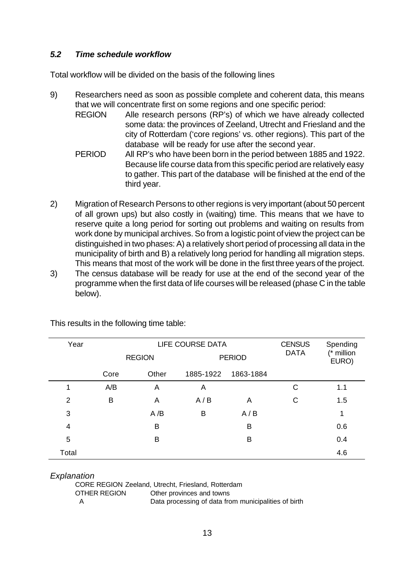## *5.2 Time schedule workflow*

Total workflow will be divided on the basis of the following lines

- 9) Researchers need as soon as possible complete and coherent data, this means that we will concentrate first on some regions and one specific period:
	- REGION Alle research persons (RP's) of which we have already collected some data: the provinces of Zeeland, Utrecht and Friesland and the city of Rotterdam ('core regions' vs. other regions). This part of the database will be ready for use after the second year.
	- PERIOD All RP's who have been born in the period between 1885 and 1922. Because life course data from this specific period are relatively easy to gather. This part of the database will be finished at the end of the third year.
- 2) Migration of Research Persons to other regions is very important (about 50 percent of all grown ups) but also costly in (waiting) time. This means that we have to reserve quite a long period for sorting out problems and waiting on results from work done by municipal archives. So from a logistic point of view the project can be distinguished in two phases: A) a relatively short period of processing all data in the municipality of birth and B) a relatively long period for handling all migration steps. This means that most of the work will be done in the first three years of the project.
- 3) The census database will be ready for use at the end of the second year of the programme when the first data of life courses will be released (phase C in the table below).

| Year  |      | <b>REGION</b> |           | LIFE COURSE DATA<br><b>PERIOD</b> |   |     |
|-------|------|---------------|-----------|-----------------------------------|---|-----|
|       | Core | Other         | 1885-1922 | 1863-1884                         |   |     |
| 1     | A/B  | Α             | A         |                                   | C | 1.1 |
| 2     | B    | Α             | A/B       | Α                                 | С | 1.5 |
| 3     |      | A/B           | B         | A/B                               |   | 1   |
| 4     |      | B             |           | B                                 |   | 0.6 |
| 5     |      | B             |           | B                                 |   | 0.4 |
| Total |      |               |           |                                   |   | 4.6 |

This results in the following time table:

#### *Explanation*

| CORE REGION Zeeland, Utrecht, Friesland, Rotterdam |                                                      |  |  |  |  |
|----------------------------------------------------|------------------------------------------------------|--|--|--|--|
| OTHER REGION                                       | Other provinces and towns                            |  |  |  |  |
| A                                                  | Data processing of data from municipalities of birth |  |  |  |  |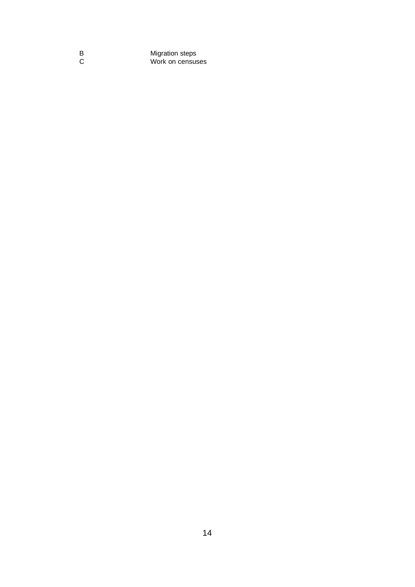B Migration steps C Work on censuses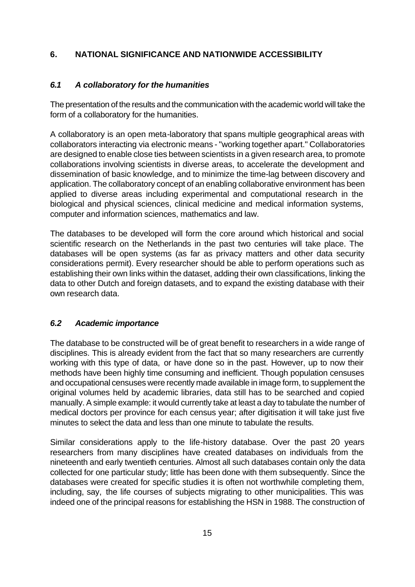## **6. NATIONAL SIGNIFICANCE AND NATIONWIDE ACCESSIBILITY**

## *6.1 A collaboratory for the humanities*

The presentation of the results and the communication with the academic world will take the form of a collaboratory for the humanities.

A collaboratory is an open meta-laboratory that spans multiple geographical areas with collaborators interacting via electronic means - "working together apart." Collaboratories are designed to enable close ties between scientists in a given research area, to promote collaborations involving scientists in diverse areas, to accelerate the development and dissemination of basic knowledge, and to minimize the time-lag between discovery and application. The collaboratory concept of an enabling collaborative environment has been applied to diverse areas including experimental and computational research in the biological and physical sciences, clinical medicine and medical information systems, computer and information sciences, mathematics and law.

The databases to be developed will form the core around which historical and social scientific research on the Netherlands in the past two centuries will take place. The databases will be open systems (as far as privacy matters and other data security considerations permit). Every researcher should be able to perform operations such as establishing their own links within the dataset, adding their own classifications, linking the data to other Dutch and foreign datasets, and to expand the existing database with their own research data.

## *6.2 Academic importance*

The database to be constructed will be of great benefit to researchers in a wide range of disciplines. This is already evident from the fact that so many researchers are currently working with this type of data, or have done so in the past. However, up to now their methods have been highly time consuming and inefficient. Though population censuses and occupational censuses were recently made available in image form, to supplement the original volumes held by academic libraries, data still has to be searched and copied manually. A simple example: it would currently take at least a day to tabulate the number of medical doctors per province for each census year; after digitisation it will take just five minutes to select the data and less than one minute to tabulate the results.

Similar considerations apply to the life-history database. Over the past 20 years researchers from many disciplines have created databases on individuals from the nineteenth and early twentieth centuries. Almost all such databases contain only the data collected for one particular study; little has been done with them subsequently. Since the databases were created for specific studies it is often not worthwhile completing them, including, say, the life courses of subjects migrating to other municipalities. This was indeed one of the principal reasons for establishing the HSN in 1988. The construction of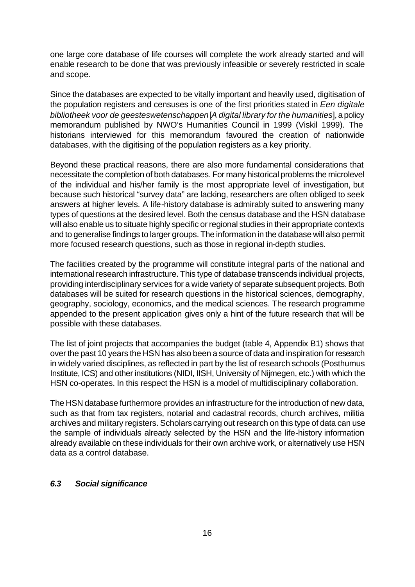one large core database of life courses will complete the work already started and will enable research to be done that was previously infeasible or severely restricted in scale and scope.

Since the databases are expected to be vitally important and heavily used, digitisation of the population registers and censuses is one of the first priorities stated in *Een digitale bibliotheek voor de geesteswetenschappen* [*A digital library for the humanities*], a policy memorandum published by NWO's Humanities Council in 1999 (Viskil 1999). The historians interviewed for this memorandum favoured the creation of nationwide databases, with the digitising of the population registers as a key priority.

Beyond these practical reasons, there are also more fundamental considerations that necessitate the completion of both databases. For many historical problems the microlevel of the individual and his/her family is the most appropriate level of investigation, but because such historical "survey data" are lacking, researchers are often obliged to seek answers at higher levels. A life-history database is admirably suited to answering many types of questions at the desired level. Both the census database and the HSN database will also enable us to situate highly specific or regional studies in their appropriate contexts and to generalise findings to larger groups. The information in the database will also permit more focused research questions, such as those in regional in-depth studies.

The facilities created by the programme will constitute integral parts of the national and international research infrastructure. This type of database transcends individual projects, providing interdisciplinary services for a wide variety of separate subsequent projects. Both databases will be suited for research questions in the historical sciences, demography, geography, sociology, economics, and the medical sciences. The research programme appended to the present application gives only a hint of the future research that will be possible with these databases.

The list of joint projects that accompanies the budget (table 4, Appendix B1) shows that over the past 10 years the HSN has also been a source of data and inspiration for research in widely varied disciplines, as reflected in part by the list of research schools (Posthumus Institute, ICS) and other institutions (NIDI, IISH, University of Nijmegen, etc.) with which the HSN co-operates. In this respect the HSN is a model of multidisciplinary collaboration.

The HSN database furthermore provides an infrastructure for the introduction of new data, such as that from tax registers, notarial and cadastral records, church archives, militia archives and military registers. Scholars carrying out research on this type of data can use the sample of individuals already selected by the HSN and the life-history information already available on these individuals for their own archive work, or alternatively use HSN data as a control database.

#### *6.3 Social significance*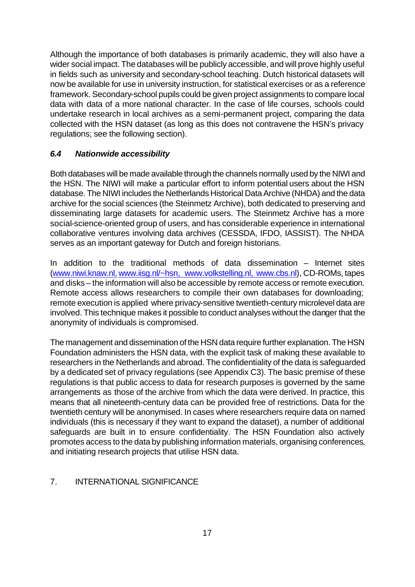Although the importance of both databases is primarily academic, they will also have a wider social impact. The databases will be publicly accessible, and will prove highly useful in fields such as university and secondary-school teaching. Dutch historical datasets will now be available for use in university instruction, for statistical exercises or as a reference framework. Secondary-school pupils could be given project assignments to compare local data with data of a more national character. In the case of life courses, schools could undertake research in local archives as a semi-permanent project, comparing the data collected with the HSN dataset (as long as this does not contravene the HSN's privacy regulations; see the following section).

## *6.4 Nationwide accessibility*

Both databases will be made available through the channels normally used by the NIWI and the HSN. The NIWI will make a particular effort to inform potential users about the HSN database. The NIWI includes the Netherlands Historical Data Archive (NHDA) and the data archive for the social sciences (the Steinmetz Archive), both dedicated to preserving and disseminating large datasets for academic users. The Steinmetz Archive has a more social-science-oriented group of users, and has considerable experience in international collaborative ventures involving data archives (CESSDA, IFDO, IASSIST). The NHDA serves as an important gateway for Dutch and foreign historians.

In addition to the traditional methods of data dissemination – Internet sites (www.niwi.knaw.nl, www.iisg.nl/~hsn, www.volkstelling.nl, www.cbs.nl), CD-ROMs, tapes and disks – the information will also be accessible by remote access or remote execution. Remote access allows researchers to compile their own databases for downloading; remote execution is applied where privacy-sensitive twentieth-century microlevel data are involved. This technique makes it possible to conduct analyses without the danger that the anonymity of individuals is compromised.

The management and dissemination of the HSN data require further explanation. The HSN Foundation administers the HSN data, with the explicit task of making these available to researchers in the Netherlands and abroad. The confidentiality of the data is safeguarded by a dedicated set of privacy regulations (see Appendix C3). The basic premise of these regulations is that public access to data for research purposes is governed by the same arrangements as those of the archive from which the data were derived. In practice, this means that all nineteenth-century data can be provided free of restrictions. Data for the twentieth century will be anonymised. In cases where researchers require data on named individuals (this is necessary if they want to expand the dataset), a number of additional safeguards are built in to ensure confidentiality. The HSN Foundation also actively promotes access to the data by publishing information materials, organising conferences, and initiating research projects that utilise HSN data.

## 7. INTERNATIONAL SIGNIFICANCE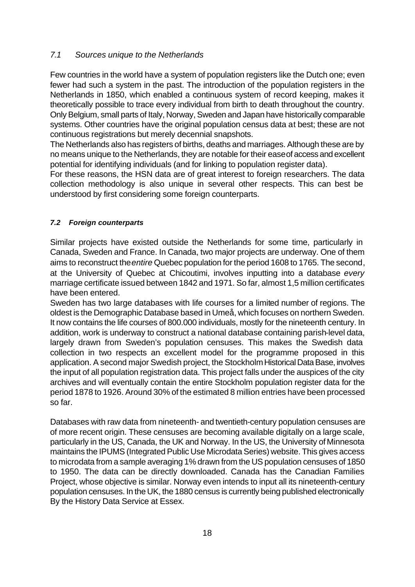## *7.1 Sources unique to the Netherlands*

Few countries in the world have a system of population registers like the Dutch one; even fewer had such a system in the past. The introduction of the population registers in the Netherlands in 1850, which enabled a continuous system of record keeping, makes it theoretically possible to trace every individual from birth to death throughout the country. Only Belgium, small parts of Italy, Norway, Sweden and Japan have historically comparable systems. Other countries have the original population census data at best; these are not continuous registrations but merely decennial snapshots.

The Netherlands also has registers of births, deaths and marriages. Although these are by no means unique to the Netherlands, they are notable for their ease of access and excellent potential for identifying individuals (and for linking to population register data).

For these reasons, the HSN data are of great interest to foreign researchers. The data collection methodology is also unique in several other respects. This can best be understood by first considering some foreign counterparts.

## *7.2 Foreign counterparts*

Similar projects have existed outside the Netherlands for some time, particularly in Canada, Sweden and France. In Canada, two major projects are underway. One of them aims to reconstruct the *entire* Quebec population for the period 1608 to 1765. The second, at the University of Quebec at Chicoutimi, involves inputting into a database *every* marriage certificate issued between 1842 and 1971. So far, almost 1,5 million certificates have been entered.

Sweden has two large databases with life courses for a limited number of regions. The oldest is the Demographic Database based in Umeå, which focuses on northern Sweden. It now contains the life courses of 800.000 individuals, mostly for the nineteenth century. In addition, work is underway to construct a national database containing parish-level data, largely drawn from Sweden's population censuses. This makes the Swedish data collection in two respects an excellent model for the programme proposed in this application. A second major Swedish project, the Stockholm Historical Data Base, involves the input of all population registration data. This project falls under the auspices of the city archives and will eventually contain the entire Stockholm population register data for the period 1878 to 1926. Around 30% of the estimated 8 million entries have been processed so far.

Databases with raw data from nineteenth- and twentieth-century population censuses are of more recent origin. These censuses are becoming available digitally on a large scale, particularly in the US, Canada, the UK and Norway. In the US, the University of Minnesota maintains the IPUMS (Integrated Public Use Microdata Series) website. This gives access to microdata from a sample averaging 1% drawn from the US population censuses of 1850 to 1950. The data can be directly downloaded. Canada has the Canadian Families Project, whose objective is similar. Norway even intends to input all its nineteenth-century population censuses. In the UK, the 1880 census is currently being published electronically By the History Data Service at Essex.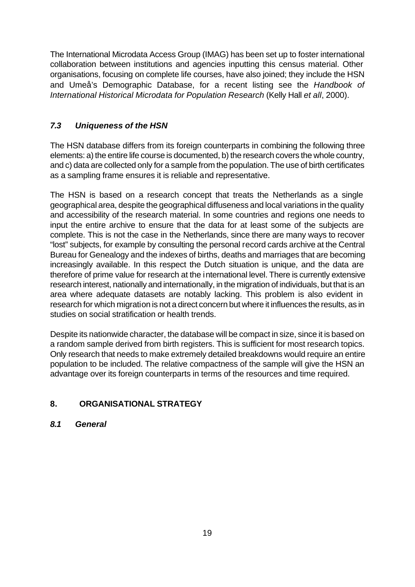The International Microdata Access Group (IMAG) has been set up to foster international collaboration between institutions and agencies inputting this census material. Other organisations, focusing on complete life courses, have also joined; they include the HSN and Umeå's Demographic Database, for a recent listing see the *Handbook of International Historical Microdata for Population Research* (Kelly Hall *et all*, 2000).

## *7.3 Uniqueness of the HSN*

The HSN database differs from its foreign counterparts in combining the following three elements: a) the entire life course is documented, b) the research covers the whole country, and c) data are collected only for a sample from the population. The use of birth certificates as a sampling frame ensures it is reliable and representative.

The HSN is based on a research concept that treats the Netherlands as a single geographical area, despite the geographical diffuseness and local variations in the quality and accessibility of the research material. In some countries and regions one needs to input the entire archive to ensure that the data for at least some of the subjects are complete. This is not the case in the Netherlands, since there are many ways to recover "lost" subjects, for example by consulting the personal record cards archive at the Central Bureau for Genealogy and the indexes of births, deaths and marriages that are becoming increasingly available. In this respect the Dutch situation is unique, and the data are therefore of prime value for research at the international level. There is currently extensive research interest, nationally and internationally, in the migration of individuals, but that is an area where adequate datasets are notably lacking. This problem is also evident in research for which migration is not a direct concern but where it influences the results, as in studies on social stratification or health trends.

Despite its nationwide character, the database will be compact in size, since it is based on a random sample derived from birth registers. This is sufficient for most research topics. Only research that needs to make extremely detailed breakdowns would require an entire population to be included. The relative compactness of the sample will give the HSN an advantage over its foreign counterparts in terms of the resources and time required.

## **8. ORGANISATIONAL STRATEGY**

## *8.1 General*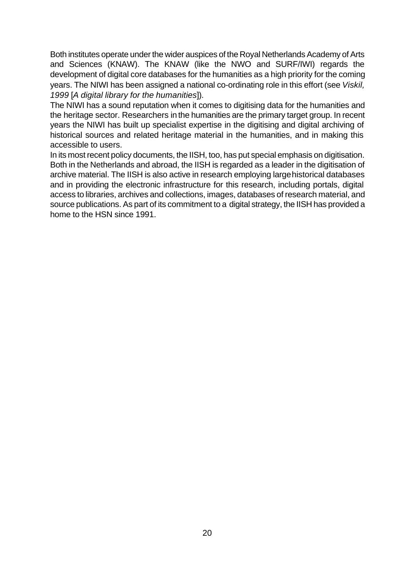Both institutes operate under the wider auspices of the Royal Netherlands Academy of Arts and Sciences (KNAW). The KNAW (like the NWO and SURF/IWI) regards the development of digital core databases for the humanities as a high priority for the coming years. The NIWI has been assigned a national co-ordinating role in this effort (see *Viskil, 1999* [*A digital library for the humanities*]).

The NIWI has a sound reputation when it comes to digitising data for the humanities and the heritage sector. Researchers in the humanities are the primary target group. In recent years the NIWI has built up specialist expertise in the digitising and digital archiving of historical sources and related heritage material in the humanities, and in making this accessible to users.

In its most recent policy documents, the IISH, too, has put special emphasis on digitisation. Both in the Netherlands and abroad, the IISH is regarded as a leader in the digitisation of archive material. The IISH is also active in research employing large historical databases and in providing the electronic infrastructure for this research, including portals, digital access to libraries, archives and collections, images, databases of research material, and source publications. As part of its commitment to a digital strategy, the IISH has provided a home to the HSN since 1991.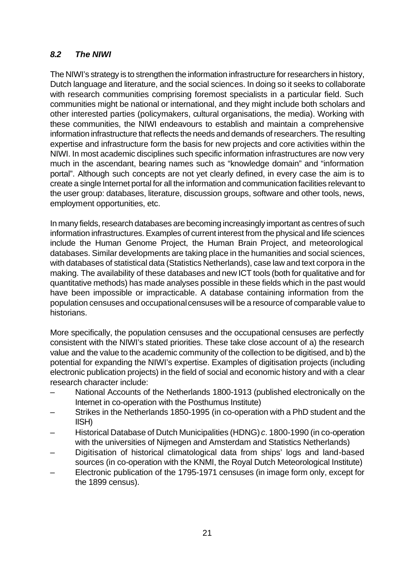## *8.2 The NIWI*

The NIWI's strategy is to strengthen the information infrastructure for researchers in history, Dutch language and literature, and the social sciences. In doing so it seeks to collaborate with research communities comprising foremost specialists in a particular field. Such communities might be national or international, and they might include both scholars and other interested parties (policymakers, cultural organisations, the media). Working with these communities, the NIWI endeavours to establish and maintain a comprehensive information infrastructure that reflects the needs and demands of researchers. The resulting expertise and infrastructure form the basis for new projects and core activities within the NIWI. In most academic disciplines such specific information infrastructures are now very much in the ascendant, bearing names such as "knowledge domain" and "information portal". Although such concepts are not yet clearly defined, in every case the aim is to create a single Internet portal for all the information and communication facilities relevant to the user group: databases, literature, discussion groups, software and other tools, news, employment opportunities, etc.

In many fields, research databases are becoming increasingly important as centres of such information infrastructures. Examples of current interest from the physical and life sciences include the Human Genome Project, the Human Brain Project, and meteorological databases. Similar developments are taking place in the humanities and social sciences, with databases of statistical data (Statistics Netherlands), case law and text corpora in the making. The availability of these databases and new ICT tools (both for qualitative and for quantitative methods) has made analyses possible in these fields which in the past would have been impossible or impracticable. A database containing information from the population censuses and occupational censuses will be a resource of comparable value to historians.

More specifically, the population censuses and the occupational censuses are perfectly consistent with the NIWI's stated priorities. These take close account of a) the research value and the value to the academic community of the collection to be digitised, and b) the potential for expanding the NIWI's expertise. Examples of digitisation projects (including electronic publication projects) in the field of social and economic history and with a clear research character include:

- National Accounts of the Netherlands 1800-1913 (published electronically on the Internet in co-operation with the Posthumus Institute)
- Strikes in the Netherlands 1850-1995 (in co-operation with a PhD student and the IISH)
- Historical Database of Dutch Municipalities (HDNG) *c*. 1800-1990 (in co-operation with the universities of Nijmegen and Amsterdam and Statistics Netherlands)
- Digitisation of historical climatological data from ships' logs and land-based sources (in co-operation with the KNMI, the Royal Dutch Meteorological Institute)
- Electronic publication of the 1795-1971 censuses (in image form only, except for the 1899 census).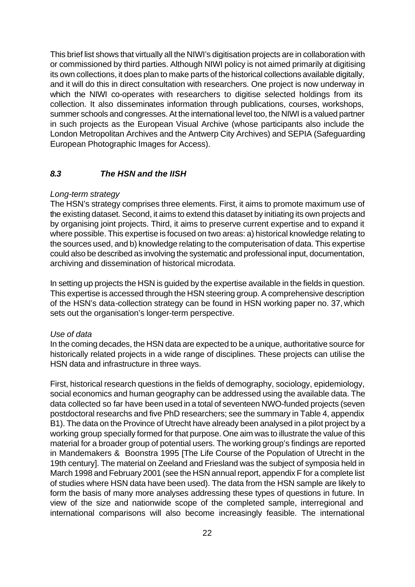This brief list shows that virtually all the NIWI's digitisation projects are in collaboration with or commissioned by third parties. Although NIWI policy is not aimed primarily at digitising its own collections, it does plan to make parts of the historical collections available digitally, and it will do this in direct consultation with researchers. One project is now underway in which the NIWI co-operates with researchers to digitise selected holdings from its collection. It also disseminates information through publications, courses, workshops, summer schools and congresses. At the international level too, the NIWI is a valued partner in such projects as the European Visual Archive (whose participants also include the London Metropolitan Archives and the Antwerp City Archives) and SEPIA (Safeguarding European Photographic Images for Access).

#### *8.3 The HSN and the IISH*

#### *Long-term strategy*

The HSN's strategy comprises three elements. First, it aims to promote maximum use of the existing dataset. Second, it aims to extend this dataset by initiating its own projects and by organising joint projects. Third, it aims to preserve current expertise and to expand it where possible. This expertise is focused on two areas: a) historical knowledge relating to the sources used, and b) knowledge relating to the computerisation of data. This expertise could also be described as involving the systematic and professional input, documentation, archiving and dissemination of historical microdata.

In setting up projects the HSN is guided by the expertise available in the fields in question. This expertise is accessed through the HSN steering group. A comprehensive description of the HSN's data-collection strategy can be found in HSN working paper no. 37, which sets out the organisation's longer-term perspective.

#### *Use of data*

In the coming decades, the HSN data are expected to be a unique, authoritative source for historically related projects in a wide range of disciplines. These projects can utilise the HSN data and infrastructure in three ways.

First, historical research questions in the fields of demography, sociology, epidemiology, social economics and human geography can be addressed using the available data. The data collected so far have been used in a total of seventeen NWO-funded projects (seven postdoctoral researchs and five PhD researchers; see the summary in Table 4, appendix B1). The data on the Province of Utrecht have already been analysed in a pilot project by a working group specially formed for that purpose. One aim was to illustrate the value of this material for a broader group of potential users. The working group's findings are reported in Mandemakers & Boonstra 1995 [The Life Course of the Population of Utrecht in the 19th century]. The material on Zeeland and Friesland was the subject of symposia held in March 1998 and February 2001 (see the HSN annual report, appendix F for a complete list of studies where HSN data have been used). The data from the HSN sample are likely to form the basis of many more analyses addressing these types of questions in future. In view of the size and nationwide scope of the completed sample, interregional and international comparisons will also become increasingly feasible. The international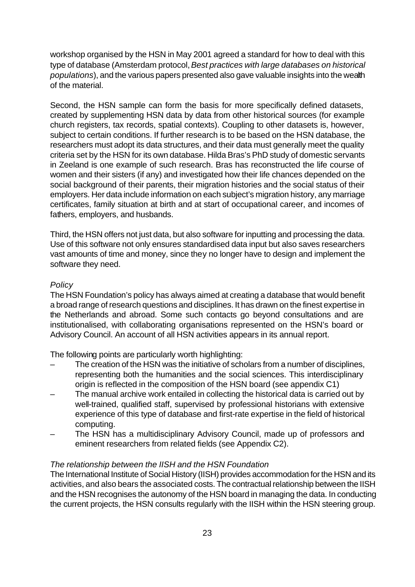workshop organised by the HSN in May 2001 agreed a standard for how to deal with this type of database (Amsterdam protocol, *Best practices with large databases on historical populations*), and the various papers presented also gave valuable insights into the wealth of the material.

Second, the HSN sample can form the basis for more specifically defined datasets, created by supplementing HSN data by data from other historical sources (for example church registers, tax records, spatial contexts). Coupling to other datasets is, however, subject to certain conditions. If further research is to be based on the HSN database, the researchers must adopt its data structures, and their data must generally meet the quality criteria set by the HSN for its own database. Hilda Bras's PhD study of domestic servants in Zeeland is one example of such research. Bras has reconstructed the life course of women and their sisters (if any) and investigated how their life chances depended on the social background of their parents, their migration histories and the social status of their employers. Her data include information on each subject's migration history, any marriage certificates, family situation at birth and at start of occupational career, and incomes of fathers, employers, and husbands.

Third, the HSN offers not just data, but also software for inputting and processing the data. Use of this software not only ensures standardised data input but also saves researchers vast amounts of time and money, since they no longer have to design and implement the software they need.

#### *Policy*

The HSN Foundation's policy has always aimed at creating a database that would benefit a broad range of research questions and disciplines. It has drawn on the finest expertise in the Netherlands and abroad. Some such contacts go beyond consultations and are institutionalised, with collaborating organisations represented on the HSN's board or Advisory Council. An account of all HSN activities appears in its annual report.

The following points are particularly worth highlighting:

- The creation of the HSN was the initiative of scholars from a number of disciplines, representing both the humanities and the social sciences. This interdisciplinary origin is reflected in the composition of the HSN board (see appendix C1)
- The manual archive work entailed in collecting the historical data is carried out by well-trained, qualified staff, supervised by professional historians with extensive experience of this type of database and first-rate expertise in the field of historical computing.
- The HSN has a multidisciplinary Advisory Council, made up of professors and eminent researchers from related fields (see Appendix C2).

## *The relationship between the IISH and the HSN Foundation*

The International Institute of Social History (IISH) provides accommodation for the HSN and its activities, and also bears the associated costs. The contractual relationship between the IISH and the HSN recognises the autonomy of the HSN board in managing the data. In conducting the current projects, the HSN consults regularly with the IISH within the HSN steering group.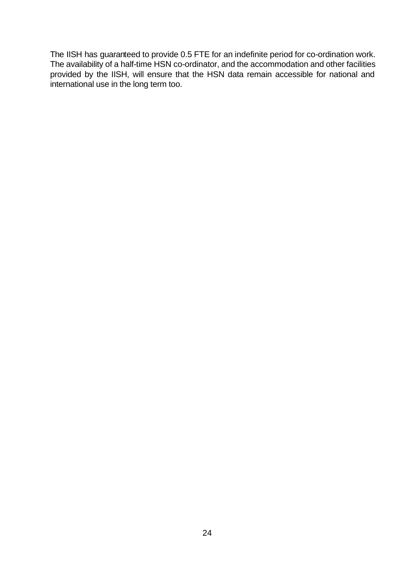The IISH has guaranteed to provide 0.5 FTE for an indefinite period for co-ordination work. The availability of a half-time HSN co-ordinator, and the accommodation and other facilities provided by the IISH, will ensure that the HSN data remain accessible for national and international use in the long term too.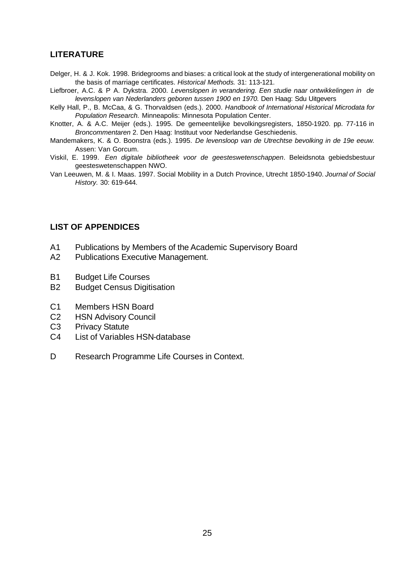## **LITERATURE**

- Delger, H. & J. Kok. 1998. Bridegrooms and biases: a critical look at the study of intergenerational mobility on the basis of marriage certificates. *Historical Methods.* 31: 113-121.
- Liefbroer, A.C. & P A. Dykstra. 2000. *Levenslopen in verandering. Een studie naar ontwikkelingen in de*  levenslopen van Nederlanders geboren tussen 1900 en 1970. Den Haag: Sdu Uitgevers
- Kelly Hall, P., B. McCaa, & G. Thorvaldsen (eds.). 2000. *Handbook of International Historical Microdata for Population Research.* Minneapolis: Minnesota Population Center.
- Knotter, A. & A.C. Meijer (eds.). 1995. De gemeentelijke bevolkingsregisters, 1850-1920. pp. 77-116 in *Broncommentaren* 2. Den Haag: Instituut voor Nederlandse Geschiedenis.
- Mandemakers, K. & O. Boonstra (eds.). 1995. *De levensloop van de Utrechtse bevolking in de 19e eeuw.*  Assen: Van Gorcum.
- Viskil, E. 1999. *Een digitale bibliotheek voor de geesteswetenschappen*. Beleidsnota gebiedsbestuur geesteswetenschappen NWO.
- Van Leeuwen, M. & I. Maas. 1997. Social Mobility in a Dutch Province, Utrecht 1850-1940. *Journal of Social History.* 30: 619-644.

#### **LIST OF APPENDICES**

- A1 Publications by Members of the Academic Supervisory Board
- A2 Publications Executive Management.
- B1 Budget Life Courses
- B2 Budget Census Digitisation
- C1 Members HSN Board
- C2 HSN Advisory Council
- C3 Privacy Statute
- C4 List of Variables HSN-database
- D Research Programme Life Courses in Context.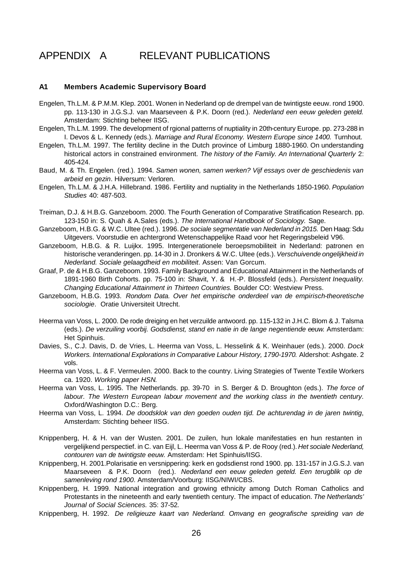# APPENDIX A RELEVANT PUBLICATIONS

#### **A1 Members Academic Supervisory Board**

- Engelen, Th.L.M. & P.M.M. Klep. 2001. Wonen in Nederland op de drempel van de twintigste eeuw. rond 1900. pp. 113-130 in J.G.S.J. van Maarseveen & P.K. Doorn (red.). *Nederland een eeuw geleden geteld.*  Amsterdam: Stichting beheer IISG.
- Engelen, Th.L.M. 1999. The development of rgional patterns of nuptiality in 20th-century Europe. pp. 273-288 in I. Devos & L. Kennedy (eds.). *Marriage and Rural Economy. Western Europe since 1400.* Turnhout.
- Engelen, Th.L.M. 1997. The fertility decline in the Dutch province of Limburg 1880-1960. On understanding historical actors in constrained environment. *The history of the Family. An International Quarterly* 2: 405-424.
- Baud, M. & Th. Engelen. (red.). 1994. *Samen wonen, samen werken? Vijf essays over de geschiedenis van arbeid en gezin*. Hilversum: Verloren.
- Engelen, Th.L.M. & J.H.A. Hillebrand. 1986. Fertility and nuptiality in the Netherlands 1850-1960. *Population Studies* 40: 487-503.
- Treiman, D.J. & H.B.G. Ganzeboom. 2000. The Fourth Generation of Comparative Stratification Research. pp. 123-150 in: S. Quah & A.Sales (eds.). *The International Handbook of Sociology.* Sage.
- Ganzeboom, H.B.G. & W.C. Ultee (red.). 1996. *De sociale segmentatie van Nederland in 2015.* Den Haag: Sdu Uitgevers. Voorstudie en achtergrond Wetenschappelijke Raad voor het Regeringsbeleid V96.
- Ganzeboom, H.B.G. & R. Luijkx. 1995. Intergenerationele beroepsmobiliteit in Nederland: patronen en historische veranderingen. pp. 14-30 in J. Dronkers & W.C. Ultee (eds.). *Verschuivende ongelijkheid in Nederland. Sociale gelaagdheid en mobiliteit*. Assen: Van Gorcum.
- Graaf, P. de & H.B.G. Ganzeboom. 1993. Family Background and Educational Attainment in the Netherlands of 1891-1960 Birth Cohorts. pp. 75-100 in: Shavit, Y. & H.-P. Blossfeld (eds.). *Persistent Inequality. Changing Educational Attainment in Thirteen Countries.* Boulder CO: Westview Press.
- Ganzeboom, H.B.G. 1993. *Rondom Data. Over het empirische onderdeel van de empirisch-theoretische sociologie*. Oratie Universiteit Utrecht.
- Heerma van Voss, L. 2000. De rode dreiging en het verzuilde antwoord. pp. 115-132 in J.H.C. Blom & J. Talsma (eds.). *De verzuiling voorbij. Godsdienst, stand en natie in de lange negentiende eeuw*. Amsterdam: Het Spinhuis.
- Davies, S., C.J. Davis, D. de Vries, L. Heerma van Voss, L. Hesselink & K. Weinhauer (eds.). 2000. *Dock Workers. International Explorations in Comparative Labour History, 1790-1970.* Aldershot: Ashgate. 2 vols.
- Heerma van Voss, L. & F. Vermeulen. 2000. Back to the country. Living Strategies of Twente Textile Workers ca. 1920. *Working paper HSN*.
- Heerma van Voss, L. 1995. The Netherlands. pp. 39-70 in S. Berger & D. Broughton (eds.). *The force of labour. The Western European labour movement and the working class in the twentieth century*. Oxford/Washington D.C.: Berg.
- Heerma van Voss, L. 1994. *De doodsklok van den goeden ouden tijd. De achturendag in de jaren twintig*, Amsterdam: Stichting beheer IISG.
- Knippenberg, H. & H. van der Wusten. 2001. De zuilen, hun lokale manifestaties en hun restanten in vergelijkend perspectief. in C. van Eijl, L. Heerma van Voss & P. de Rooy (red.). *Het sociale Nederland, contouren van de twintigste eeuw.* Amsterdam: Het Spinhuis/IISG.
- Knippenberg, H. 2001.Polarisatie en versnippering: kerk en godsdienst rond 1900. pp. 131-157 in J.G.S.J. van Maarseveen & P.K. Doorn (red.). *Nederland een eeuw geleden geteld. Een terugblik op de samenleving rond 1900*. Amsterdam/Voorburg: IISG/NIWI/CBS.
- Knippenberg, H. 1999. National integration and growing ethnicity among Dutch Roman Catholics and Protestants in the nineteenth and early twentieth century. The impact of education. *The Netherlands' Journal of Social Sciences.* 35: 37-52.
- Knippenberg, H. 1992. *De religieuze kaart van Nederland. Omvang en geografische spreiding van de*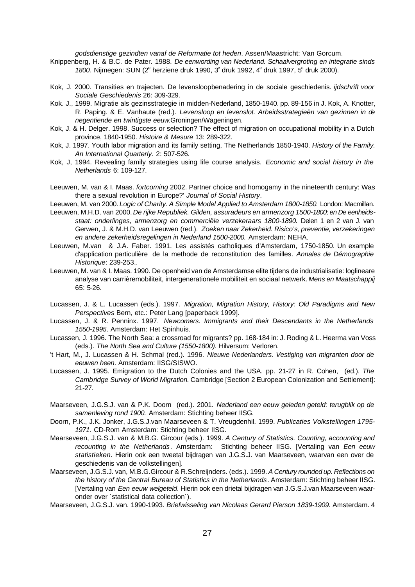*godsdienstige gezindten vanaf de Reformatie tot heden*. Assen/Maastricht: Van Gorcum.

- Knippenberg, H. & B.C. de Pater. 1988. *De eenwording van Nederland. Schaalvergroting en integratie sinds*  1800. Nijmegen: SUN (2<sup>e</sup> herziene druk 1990, 3<sup>e</sup> druk 1992, 4<sup>e</sup> druk 1997, 5<sup>e</sup> druk 2000).
- Kok, J. 2000. Transities en trajecten. De levensloopbenadering in de sociale geschiedenis. *ijdschrift voor Sociale Geschiedenis* 26: 309-329.
- Kok. J., 1999. Migratie als gezinsstrategie in midden-Nederland, 1850-1940. pp. 89-156 in J. Kok, A. Knotter, R. Paping. & E. Vanhaute (red.). *Levensloop en levenslot. Arbeidsstrategieën van gezinnen in de negentiende en twintigste eeuw*.Groningen/Wageningen.
- Kok, J. & H. Delger. 1998. Success or selection? The effect of migration on occupational mobility in a Dutch province, 1840-1950. *Histoire & Mesure* 13: 289-322.
- Kok, J. 1997. Youth labor migration and its family setting, The Netherlands 1850-1940. *History of the Family. An International Quarterly.* 2: 507-526.
- Kok, J, 1994. Revealing family strategies using life course analysis. *Economic and social history in the Netherlands* 6: 109-127.
- Leeuwen, M. van & I. Maas. *fortcoming* 2002. Partner choice and homogamy in the nineteenth century: Was there a sexual revolution in Europe?' *Journal of Social History*.
- Leeuwen, M. van 2000. *Logic of Charity. A Simple Model Applied to Amsterdam 1800-1850.* London: Macmillan.
- Leeuwen, M.H.D. van 2000. *De rijke Republiek. Gilden, assuradeurs en armenzorg 1500-1800; en De eenheidsstaat: onderlinges, armenzorg en commerciële verzekeraars 1800-1890.* Delen 1 en 2 van J. van Gerwen, J. & M.H.D. van Leeuwen (red.). *Zoeken naar Zekerheid. Risico's, preventie, verzekeringen en andere zekerheidsregelingen in Nederland 1500-2000.* Amsterdam: NEHA.
- Leeuwen, M.van & J.A. Faber. 1991. Les assistés catholiques d'Amsterdam, 1750-1850. Un example d'application particulière de la methode de reconstitution des familles*. Annales de Démographie Historique*: 239-253..
- Leeuwen, M. van & I. Maas. 1990. De openheid van de Amsterdamse elite tijdens de industrialisatie: loglineare analyse van carrièremobiliteit, intergenerationele mobiliteit en sociaal netwerk. *Mens en Maatschappij* 65: 5-26.
- Lucassen, J. & L. Lucassen (eds.). 1997. *Migration, Migration History, History: Old Paradigms and New Perspectives* Bern, etc.: Peter Lang [paperback 1999].
- Lucassen, J. & R. Penninx. 1997. *Newcomers. Immigrants and their Descendants in the Netherlands 1550-1995*. Amsterdam: Het Spinhuis.
- Lucassen, J. 1996. The North Sea: a crossroad for migrants? pp. 168-184 in: J. Roding & L. Heerma van Voss (eds.). *The North Sea and Culture (1550-1800).* Hilversum: Verloren.
- 't Hart, M., J. Lucassen & H. Schmal (red.). 1996. *Nieuwe Nederlanders. Vestiging van migranten door de eeuwen heen*. Amsterdam: IISG/SISWO.
- Lucassen, J. 1995. Emigration to the Dutch Colonies and the USA. pp. 21-27 in R. Cohen, (ed.). *The Cambridge Survey of World Migration.* Cambridge [Section 2 European Colonization and Settlement]: 21-27.
- Maarseveen, J.G.S.J. van & P.K. Doorn (red.). 2001. *Nederland een eeuw geleden geteld: terugblik op de samenleving rond 1900.* Amsterdam: Stichting beheer IISG.
- Doorn, P.K., J.K. Jonker, J.G.S.J.van Maarseveen & T. Vreugdenhil. 1999. *Publicaties Volkstellingen 1795- 1971.* CD-Rom Amsterdam: Stichting beheer IISG.
- Maarseveen, J.G.S.J. van & M.B.G. Gircour (eds.). 1999. *A Century of Statistics. Counting, accounting and recounting in the Netherlands*. Amsterdam: Stichting beheer IISG. [Vertaling van *Een eeuw statistieken*. Hierin ook een tweetal bijdragen van J.G.S.J. van Maarseveen, waarvan een over de geschiedenis van de volkstellingen].
- Maarseveen, J.G.S.J. van, M.B.G.Gircour & R.Schreijnders. (eds.). 1999. *A Century rounded up. Reflections on the history of the Central Bureau of Statistics in the Netherlands*. Amsterdam: Stichting beheer IISG. [Vertaling van *Een eeuw welgeteld*. Hierin ook een drietal bijdragen van J.G.S.J.van Maarseveen waaronder over ´statistical data collection´).
- Maarseveen, J.G.S.J. van. 1990-1993. *Briefwisseling van Nicolaas Gerard Pierson 1839-1909.* Amsterdam. 4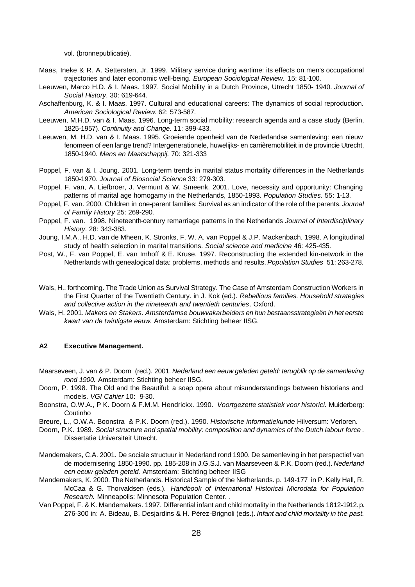vol. (bronnepublicatie).

- Maas, Ineke & R. A. Settersten, Jr. 1999. Military service during wartime: its effects on men's occupational trajectories and later economic well-being. *European Sociological Review.* 15: 81-100.
- Leeuwen, Marco H.D. & I. Maas. 1997. Social Mobility in a Dutch Province, Utrecht 1850- 1940. *Journal of Social History*. 30: 619-644.
- Aschaffenburg, K. & I. Maas. 1997. Cultural and educational careers: The dynamics of social reproduction. *American Sociological Review*. 62: 573-587.
- Leeuwen, M.H.D. van & I. Maas. 1996. Long-term social mobility: research agenda and a case study (Berlin, 1825-1957). *Continuity and Change*. 11: 399-433.
- Leeuwen, M. H.D. van & I. Maas. 1995. Groeiende openheid van de Nederlandse samenleving: een nieuw fenomeen of een lange trend? Intergenerationele, huwelijks- en carrièremobiliteit in de provincie Utrecht, 1850-1940. *Mens en Maatschappij.* 70: 321-333
- Poppel, F. van & I. Joung. 2001. Long-term trends in marital status mortality differences in the Netherlands 1850-1970. *Journal of Biosocial Science* 33: 279-303.
- Poppel, F. van, A. Liefbroer, J. Vermunt & W. Smeenk. 2001. Love, necessity and opportunity: Changing patterns of marital age homogamy in the Netherlands, 1850-1993. *Population Studies.* 55: 1-13.
- Poppel, F. van. 2000. Children in one-parent families: Survival as an indicator of the role of the parents. *Journal of Family History* 25: 269-290.
- Poppel, F. van. 1998. Nineteenth-century remarriage patterns in the Netherlands *Journal of Interdisciplinary History*. 28: 343-383.
- Joung, I.M.A., H.D. van de Mheen, K. Stronks, F. W. A. van Poppel & J.P. Mackenbach. 1998. A longitudinal study of health selection in marital transitions. *Social science and medicine* 46: 425-435.
- Post, W., F. van Poppel, E. van Imhoff & E. Kruse. 1997. Reconstructing the extended kin-network in the Netherlands with genealogical data: problems, methods and results. *Population Studies* 51: 263-278.
- Wals, H., forthcoming. The Trade Union as Survival Strategy. The Case of Amsterdam Construction Workers in the First Quarter of the Twentieth Century. in J. Kok (ed.). *Rebellious families. Household strategies and collective action in the nineteenth and twentieth centuries*. Oxford.
- Wals, H. 2001. *Makers en Stakers. Amsterdamse bouwvakarbeiders en hun bestaansstrategieën in het eerste kwart van de twintigste eeuw.* Amsterdam: Stichting beheer IISG.

#### **A2 Executive Management.**

- Maarseveen, J. van & P. Doorn (red.). 2001. *Nederland een eeuw geleden geteld: terugblik op de samenleving rond 1900.* Amsterdam: Stichting beheer IISG.
- Doorn, P. 1998. The Old and the Beautiful: a soap opera about misunderstandings between historians and models. *VGI Cahier* 10: 9-30.
- Boonstra, O.W.A., P K. Doorn & F.M.M. Hendrickx. 1990. *Voortgezette statistiek voor historici.* Muiderberg: Coutinho
- Breure, L., O.W.A. Boonstra & P.K. Doorn (red.). 1990. *Historische informatiekunde* Hilversum: Verloren.
- Doorn, P.K. 1989. *Social structure and spatial mobility: composition and dynamics of the Dutch labour force* . Dissertatie Universiteit Utrecht.
- Mandemakers, C.A. 2001. De sociale structuur in Nederland rond 1900. De samenleving in het perspectief van de modernisering 1850-1990. pp. 185-208 in J.G.S.J. van Maarseveen & P.K. Doorn (red.). *Nederland een eeuw geleden geteld.* Amsterdam: Stichting beheer IISG
- Mandemakers, K. 2000. The Netherlands. Historical Sample of the Netherlands. p. 149-177 in P. Kelly Hall, R. McCaa & G. Thorvaldsen (eds.). *Handbook of International Historical Microdata for Population Research.* Minneapolis: Minnesota Population Center. .
- Van Poppel, F. & K. Mandemakers. 1997. Differential infant and child mortality in the Netherlands 1812-1912. p. 276-300 in: A. Bideau, B. Desjardins & H. Pérez-Brignoli (eds.). *Infant and child mortality in the past.*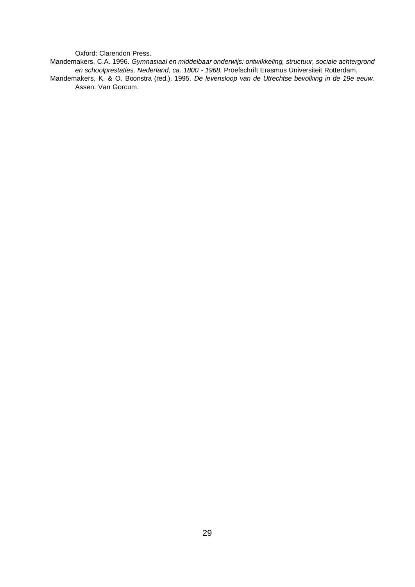Oxford: Clarendon Press.

Mandemakers, C.A. 1996. *Gymnasiaal en middelbaar onderwijs: ontwikkeling, structuur, sociale achtergrond en schoolprestaties, Nederland, ca. 1800 - 1968.* Proefschrift Erasmus Universiteit Rotterdam.

Mandemakers, K. & O. Boonstra (red.). 1995. *De levensloop van de Utrechtse bevolking in de 19e eeuw.*  Assen: Van Gorcum.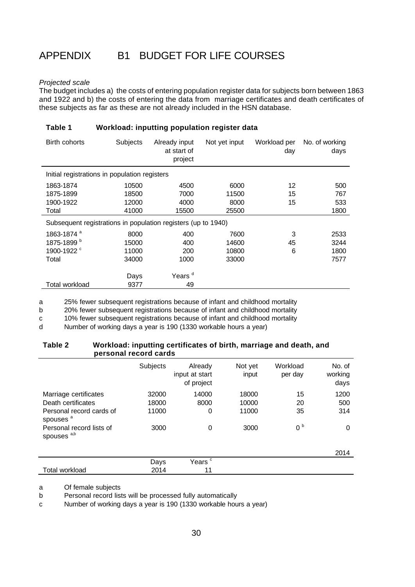# APPENDIX B1 BUDGET FOR LIFE COURSES

#### *Projected scale*

The budget includes a) the costs of entering population register data for subjects born between 1863 and 1922 and b) the costs of entering the data from marriage certificates and death certificates of these subjects as far as these are not already included in the HSN database.

#### **Table 1 Workload: inputting population register data**

| Birth cohorts                                                 | <b>Subjects</b> | Already input<br>at start of<br>project | Not yet input | Workload per<br>day | No. of working<br>days |
|---------------------------------------------------------------|-----------------|-----------------------------------------|---------------|---------------------|------------------------|
| Initial registrations in population registers                 |                 |                                         |               |                     |                        |
| 1863-1874                                                     | 10500           | 4500                                    | 6000          | 12                  | 500                    |
| 1875-1899                                                     | 18500           | 7000                                    | 11500         | 15                  | 767                    |
| 1900-1922                                                     | 12000           | 4000                                    | 8000          | 15                  | 533                    |
| Total                                                         | 41000           | 15500                                   | 25500         |                     | 1800                   |
| Subsequent registrations in population registers (up to 1940) |                 |                                         |               |                     |                        |
| 1863-1874 <sup>a</sup>                                        | 8000            | 400                                     | 7600          | 3                   | 2533                   |
| 1875-1899 <sup>b</sup>                                        | 15000           | 400                                     | 14600         | 45                  | 3244                   |
| 1900-1922 <sup>c</sup>                                        | 11000           | 200                                     | 10800         | 6                   | 1800                   |
| Total                                                         | 34000           | 1000                                    | 33000         |                     | 7577                   |
|                                                               |                 |                                         |               |                     |                        |
|                                                               | Days            | Years <sup>d</sup>                      |               |                     |                        |
| Total workload                                                | 9377            | 49                                      |               |                     |                        |

a 25% fewer subsequent registrations because of infant and childhood mortality

b 20% fewer subsequent registrations because of infant and childhood mortality

c 10% fewer subsequent registrations because of infant and childhood mortality

d Number of working days a year is 190 (1330 workable hours a year)

#### **Table 2 Workload: inputting certificates of birth, marriage and death, and personal record cards**

|                                                    | Subjects | Already<br>input at start<br>of project | Not yet<br>input | Workload<br>per day | No. of<br>working<br>days |
|----------------------------------------------------|----------|-----------------------------------------|------------------|---------------------|---------------------------|
| Marriage certificates                              | 32000    | 14000                                   | 18000            | 15                  | 1200                      |
| Death certificates                                 | 18000    | 8000                                    | 10000            | 20                  | 500                       |
| Personal record cards of<br>spouses <sup>a</sup>   | 11000    | 0                                       | 11000            | 35                  | 314                       |
| Personal record lists of<br>spouses <sup>a,b</sup> | 3000     | 0                                       | 3000             | 0 <sup>b</sup>      | 0                         |
|                                                    |          |                                         |                  |                     | 2014                      |
|                                                    | Days     | Years <sup>c</sup>                      |                  |                     |                           |
| <b>Total workload</b>                              | 2014     | 11                                      |                  |                     |                           |

a Of female subjects

b Personal record lists will be processed fully automatically

c Number of working days a year is 190 (1330 workable hours a year)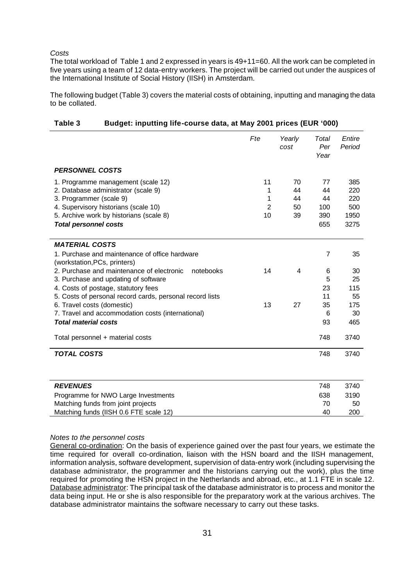#### *Costs*

The total workload of Table 1 and 2 expressed in years is 49+11=60. All the work can be completed in five years using a team of 12 data-entry workers. The project will be carried out under the auspices of the International Institute of Social History (IISH) in Amsterdam.

The following budget (Table 3) covers the material costs of obtaining, inputting and managing the data to be collated.

|                                                                                                            | Fte                       | Yearly<br>cost | Total<br>Per<br>Year | Entire<br>Period   |
|------------------------------------------------------------------------------------------------------------|---------------------------|----------------|----------------------|--------------------|
| <b>PERSONNEL COSTS</b>                                                                                     |                           |                |                      |                    |
| 1. Programme management (scale 12)<br>2. Database administrator (scale 9)                                  | 11<br>1                   | 70<br>44       | 77<br>44             | 385<br>220         |
| 3. Programmer (scale 9)<br>4. Supervisory historians (scale 10)<br>5. Archive work by historians (scale 8) | 1<br>$\overline{2}$<br>10 | 44<br>50<br>39 | 44<br>100<br>390     | 220<br>500<br>1950 |
| <b>Total personnel costs</b>                                                                               |                           |                | 655                  | 3275               |
| <b>MATERIAL COSTS</b>                                                                                      |                           |                |                      |                    |
| 1. Purchase and maintenance of office hardware<br>(workstation, PCs, printers)                             |                           |                | 7                    | 35                 |
| 2. Purchase and maintenance of electronic<br>notebooks<br>3. Purchase and updating of software             | 14                        | 4              | 6<br>5               | 30<br>25           |
| 4. Costs of postage, statutory fees<br>5. Costs of personal record cards, personal record lists            |                           |                | 23<br>11             | 115<br>55          |
| 6. Travel costs (domestic)<br>7. Travel and accommodation costs (international)                            | 13                        | 27             | 35<br>6              | 175<br>30          |
| <b>Total material costs</b>                                                                                |                           |                | 93                   | 465                |
| Total personnel + material costs                                                                           |                           |                | 748                  | 3740               |
| <b>TOTAL COSTS</b>                                                                                         |                           |                | 748                  | 3740               |
|                                                                                                            |                           |                |                      |                    |
| <b>REVENUES</b>                                                                                            |                           |                | 748                  | 3740               |
| Programme for NWO Large Investments                                                                        |                           |                | 638                  | 3190               |
| Matching funds from joint projects                                                                         |                           |                | 70                   | 50                 |
| Matching funds (IISH 0.6 FTE scale 12)                                                                     |                           |                | 40                   | 200                |

#### **Table 3 Budget: inputting life-course data, at May 2001 prices (EUR '000)**

#### *Notes to the personnel costs*

General co-ordination: On the basis of experience gained over the past four years, we estimate the time required for overall co-ordination, liaison with the HSN board and the IISH management, information analysis, software development, supervision of data-entry work (including supervising the database administrator, the programmer and the historians carrying out the work), plus the time required for promoting the HSN project in the Netherlands and abroad, etc., at 1.1 FTE in scale 12. Database administrator: The principal task of the database administrator is to process and monitor the data being input. He or she is also responsible for the preparatory work at the various archives. The database administrator maintains the software necessary to carry out these tasks.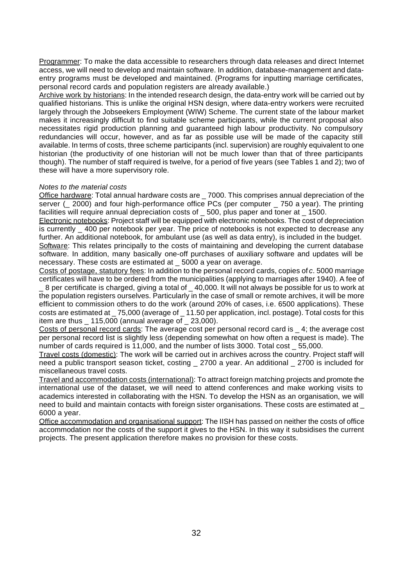Programmer: To make the data accessible to researchers through data releases and direct Internet access, we will need to develop and maintain software. In addition, database-management and dataentry programs must be developed and maintained. (Programs for inputting marriage certificates, personal record cards and population registers are already available.)

Archive work by historians: In the intended research design, the data-entry work will be carried out by qualified historians. This is unlike the original HSN design, where data-entry workers were recruited largely through the Jobseekers Employment (WIW) Scheme. The current state of the labour market makes it increasingly difficult to find suitable scheme participants, while the current proposal also necessitates rigid production planning and guaranteed high labour productivity. No compulsory redundancies will occur, however, and as far as possible use will be made of the capacity still available. In terms of costs, three scheme participants (incl. supervision) are roughly equivalent to one historian (the productivity of one historian will not be much lower than that of three participants though). The number of staff required is twelve, for a period of five years (see Tables 1 and 2); two of these will have a more supervisory role.

#### *Notes to the material costs*

Office hardware: Total annual hardware costs are \_ 7000. This comprises annual depreciation of the server ( $\geq$  2000) and four high-performance office PCs (per computer  $\geq$  750 a year). The printing facilities will require annual depreciation costs of \_ 500, plus paper and toner at \_ 1500.

Electronic notebooks: Project staff will be equipped with electronic notebooks. The cost of depreciation is currently \_400 per notebook per year. The price of notebooks is not expected to decrease any further. An additional notebook, for ambulant use (as well as data entry), is included in the budget.

Software: This relates principally to the costs of maintaining and developing the current database software. In addition, many basically one-off purchases of auxiliary software and updates will be necessary. These costs are estimated at \_ 5000 a year on average.

Costs of postage, statutory fees: In addition to the personal record cards, copies of *c*. 5000 marriage certificates will have to be ordered from the municipalities (applying to marriages after 1940). A fee of \_ 8 per certificate is charged, giving a total of \_ 40,000. It will not always be possible for us to work at

the population registers ourselves. Particularly in the case of small or remote archives, it will be more efficient to commission others to do the work (around 20% of cases, i.e. 6500 applications). These costs are estimated at \_ 75,000 (average of \_ 11.50 per application, incl. postage). Total costs for this item are thus \_ 115,000 (annual average of \_ 23,000).

Costs of personal record cards: The average cost per personal record card is \_ 4; the average cost per personal record list is slightly less (depending somewhat on how often a request is made). The number of cards required is 11,000, and the number of lists 3000. Total cost \_ 55,000.

Travel costs (domestic): The work will be carried out in archives across the country. Project staff will need a public transport season ticket, costing 2700 a year. An additional 2700 is included for miscellaneous travel costs.

Travel and accommodation costs (international): To attract foreign matching projects and promote the international use of the dataset, we will need to attend conferences and make working visits to academics interested in collaborating with the HSN. To develop the HSN as an organisation, we will need to build and maintain contacts with foreign sister organisations. These costs are estimated at \_ 6000 a year.

Office accommodation and organisational support: The IISH has passed on neither the costs of office accommodation nor the costs of the support it gives to the HSN. In this way it subsidises the current projects. The present application therefore makes no provision for these costs.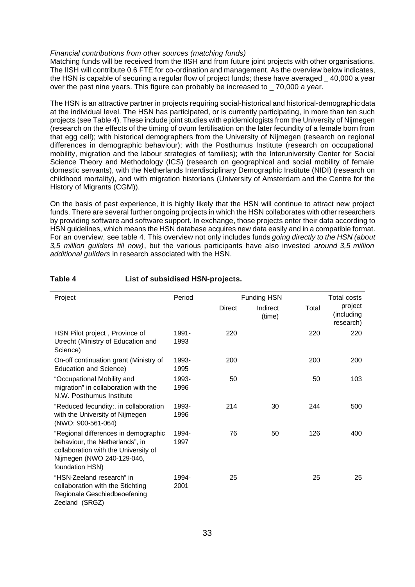#### *Financial contributions from other sources (matching funds)*

Matching funds will be received from the IISH and from future joint projects with other organisations. The IISH will contribute 0.6 FTE for co-ordination and management. As the overview below indicates, the HSN is capable of securing a regular flow of project funds; these have averaged \_ 40,000 a year over the past nine years. This figure can probably be increased to \_ 70,000 a year.

The HSN is an attractive partner in projects requiring social-historical and historical-demographic data at the individual level. The HSN has participated, or is currently participating, in more than ten such projects (see Table 4). These include joint studies with epidemiologists from the University of Nijmegen (research on the effects of the timing of ovum fertilisation on the later fecundity of a female born from that egg cell); with historical demographers from the University of Nijmegen (research on regional differences in demographic behaviour); with the Posthumus Institute (research on occupational mobility, migration and the labour strategies of families); with the Interuniversity Center for Social Science Theory and Methodology (ICS) (research on geographical and social mobility of female domestic servants), with the Netherlands Interdisciplinary Demographic Institute (NIDI) (research on childhood mortality), and with migration historians (University of Amsterdam and the Centre for the History of Migrants (CGM)).

On the basis of past experience, it is highly likely that the HSN will continue to attract new project funds. There are several further ongoing projects in which the HSN collaborates with other researchers by providing software and software support. In exchange, those projects enter their data according to HSN guidelines, which means the HSN database acquires new data easily and in a compatible format. For an overview, see table 4. This overview not only includes funds *going directly to the HSN (about 3,5 million guilders till now)*, but the various participants have also invested *around 3,5 million additional guilders* in research associated with the HSN.

| Project                                                                                                                                                          | Period        |        | <b>Funding HSN</b> |       | <b>Total costs</b>                 |
|------------------------------------------------------------------------------------------------------------------------------------------------------------------|---------------|--------|--------------------|-------|------------------------------------|
|                                                                                                                                                                  |               | Direct | Indirect<br>(time) | Total | project<br>(including<br>research) |
| HSN Pilot project, Province of<br>Utrecht (Ministry of Education and<br>Science)                                                                                 | 1991-<br>1993 | 220    |                    | 220   | 220                                |
| On-off continuation grant (Ministry of<br><b>Education and Science)</b>                                                                                          | 1993-<br>1995 | 200    |                    | 200   | 200                                |
| "Occupational Mobility and<br>migration" in collaboration with the<br>N.W. Posthumus Institute                                                                   | 1993-<br>1996 | 50     |                    | 50    | 103                                |
| "Reduced fecundity:, in collaboration<br>with the University of Nijmegen<br>(NWO: 900-561-064)                                                                   | 1993-<br>1996 | 214    | 30                 | 244   | 500                                |
| "Regional differences in demographic<br>behaviour, the Netherlands", in<br>collaboration with the University of<br>Nijmegen (NWO 240-129-046,<br>foundation HSN) | 1994-<br>1997 | 76     | 50                 | 126   | 400                                |
| "HSN-Zeeland research" in<br>collaboration with the Stichting<br>Regionale Geschiedbeoefening<br>Zeeland (SRGZ)                                                  | 1994-<br>2001 | 25     |                    | 25    | 25                                 |

#### **Table 4 List of subsidised HSN-projects.**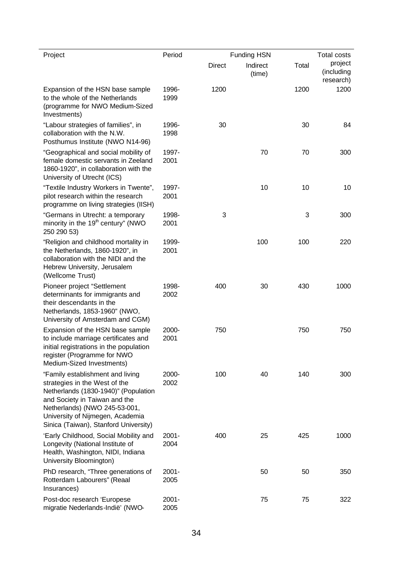| Project                                                                                                                                                                                                                                                  | Period           |               | <b>Funding HSN</b> |       | <b>Total costs</b>                 |
|----------------------------------------------------------------------------------------------------------------------------------------------------------------------------------------------------------------------------------------------------------|------------------|---------------|--------------------|-------|------------------------------------|
|                                                                                                                                                                                                                                                          |                  | <b>Direct</b> | Indirect<br>(time) | Total | project<br>(including<br>research) |
| Expansion of the HSN base sample<br>to the whole of the Netherlands<br>(programme for NWO Medium-Sized<br>Investments)                                                                                                                                   | 1996-<br>1999    | 1200          |                    | 1200  | 1200                               |
| "Labour strategies of families", in<br>collaboration with the N.W.<br>Posthumus Institute (NWO N14-96)                                                                                                                                                   | 1996-<br>1998    | 30            |                    | 30    | 84                                 |
| "Geographical and social mobility of<br>female domestic servants in Zeeland<br>1860-1920", in collaboration with the<br>University of Utrecht (ICS)                                                                                                      | 1997-<br>2001    |               | 70                 | 70    | 300                                |
| "Textile Industry Workers in Twente",<br>pilot research within the research<br>programme on living strategies (IISH)                                                                                                                                     | 1997-<br>2001    |               | 10                 | 10    | 10                                 |
| "Germans in Utrecht: a temporary<br>minority in the 19 <sup>th</sup> century" (NWO<br>250 290 53)                                                                                                                                                        | 1998-<br>2001    | 3             |                    | 3     | 300                                |
| "Religion and childhood mortality in<br>the Netherlands, 1860-1920", in<br>collaboration with the NIDI and the<br>Hebrew University, Jerusalem<br>(Wellcome Trust)                                                                                       | 1999-<br>2001    |               | 100                | 100   | 220                                |
| Pioneer project "Settlement<br>determinants for immigrants and<br>their descendants in the<br>Netherlands, 1853-1960" (NWO,<br>University of Amsterdam and CGM)                                                                                          | 1998-<br>2002    | 400           | 30                 | 430   | 1000                               |
| Expansion of the HSN base sample<br>to include marriage certificates and<br>initial registrations in the population<br>register (Programme for NWO<br>Medium-Sized Investments)                                                                          | 2000-<br>2001    | 750           |                    | 750   | 750                                |
| "Family establishment and living<br>strategies in the West of the<br>Netherlands (1830-1940)" (Population<br>and Society in Taiwan and the<br>Netherlands) (NWO 245-53-001,<br>University of Nijmegen, Academia<br>Sinica (Taiwan), Stanford University) | 2000-<br>2002    | 100           | 40                 | 140   | 300                                |
| 'Early Childhood, Social Mobility and<br>Longevity (National Institute of<br>Health, Washington, NIDI, Indiana<br>University Bloomington)                                                                                                                | $2001 -$<br>2004 | 400           | 25                 | 425   | 1000                               |
| PhD research, "Three generations of<br>Rotterdam Labourers" (Reaal<br>Insurances)                                                                                                                                                                        | $2001 -$<br>2005 |               | 50                 | 50    | 350                                |
| Post-doc research 'Europese<br>migratie Nederlands-Indië' (NWO-                                                                                                                                                                                          | 2001-<br>2005    |               | 75                 | 75    | 322                                |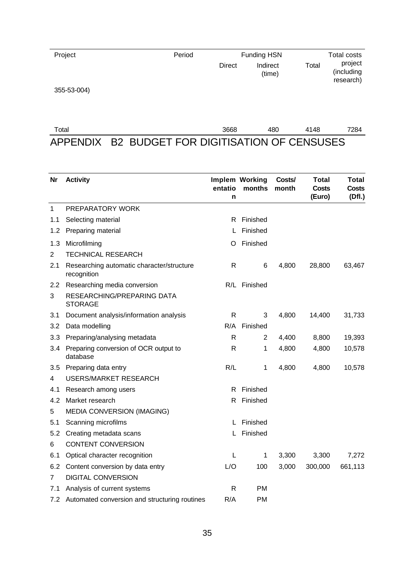| Project     | Period | <b>Funding HSN</b> |                    |       | Total costs                        |
|-------------|--------|--------------------|--------------------|-------|------------------------------------|
|             |        | <b>Direct</b>      | Indirect<br>(time) | Total | project<br>(including<br>research) |
| 355-53-004) |        |                    |                    |       |                                    |

| $\tau$ otal |                                                 | 3668 | 480 | 4148 | 7284 |
|-------------|-------------------------------------------------|------|-----|------|------|
|             | APPENDIX B2 BUDGET FOR DIGITISATION OF CENSUSES |      |     |      |      |

| Nr             | <b>Activity</b>                                          | entatio<br>n | Implem Working<br>months | Costs/<br>month | Total<br>Costs<br>(Euro) | Total<br><b>Costs</b><br>(Df.) |
|----------------|----------------------------------------------------------|--------------|--------------------------|-----------------|--------------------------|--------------------------------|
| $\mathbf{1}$   | PREPARATORY WORK                                         |              |                          |                 |                          |                                |
| 1.1            | Selecting material                                       | R.           | Finished                 |                 |                          |                                |
| 1.2            | Preparing material                                       |              | Finished                 |                 |                          |                                |
| 1.3            | Microfilming                                             | O            | Finished                 |                 |                          |                                |
| $\overline{2}$ | <b>TECHNICAL RESEARCH</b>                                |              |                          |                 |                          |                                |
| 2.1            | Researching automatic character/structure<br>recognition | R            | 6                        | 4,800           | 28,800                   | 63,467                         |
| 2.2            | Researching media conversion                             |              | R/L Finished             |                 |                          |                                |
| 3              | RESEARCHING/PREPARING DATA<br><b>STORAGE</b>             |              |                          |                 |                          |                                |
| 3.1            | Document analysis/information analysis                   | R            | 3                        | 4,800           | 14,400                   | 31,733                         |
| 3.2            | Data modelling                                           | R/A          | Finished                 |                 |                          |                                |
| 3.3            | Preparing/analysing metadata                             | R            | $\overline{2}$           | 4,400           | 8,800                    | 19,393                         |
|                | 3.4 Preparing conversion of OCR output to<br>database    | R            | 1                        | 4,800           | 4,800                    | 10,578                         |
| 3.5            | Preparing data entry                                     | R/L          | 1                        | 4,800           | 4,800                    | 10,578                         |
| 4              | <b>USERS/MARKET RESEARCH</b>                             |              |                          |                 |                          |                                |
| 4.1            | Research among users                                     | R            | Finished                 |                 |                          |                                |
| 4.2            | Market research                                          | R            | Finished                 |                 |                          |                                |
| 5              | <b>MEDIA CONVERSION (IMAGING)</b>                        |              |                          |                 |                          |                                |
| 5.1            | Scanning microfilms                                      | L            | Finished                 |                 |                          |                                |
| 5.2            | Creating metadata scans                                  | L            | Finished                 |                 |                          |                                |
| 6              | <b>CONTENT CONVERSION</b>                                |              |                          |                 |                          |                                |
| 6.1            | Optical character recognition                            | L            | 1                        | 3,300           | 3,300                    | 7,272                          |
| 6.2            | Content conversion by data entry                         | L/O          | 100                      | 3,000           | 300,000                  | 661,113                        |
| 7              | <b>DIGITAL CONVERSION</b>                                |              |                          |                 |                          |                                |
| 7.1            | Analysis of current systems                              | R            | РM                       |                 |                          |                                |
| 7.2            | Automated conversion and structuring routines            | R/A          | РM                       |                 |                          |                                |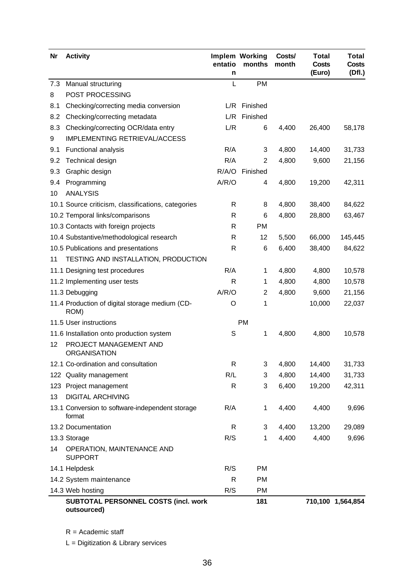| Nr  | <b>Activity</b>                                           | entatio<br>n | Implem Working<br>months | Costs/<br>month | <b>Total</b><br>Costs<br>(Euro) | <b>Total</b><br><b>Costs</b><br>(Df.) |
|-----|-----------------------------------------------------------|--------------|--------------------------|-----------------|---------------------------------|---------------------------------------|
| 7.3 | Manual structuring                                        | L            | PM                       |                 |                                 |                                       |
| 8   | POST PROCESSING                                           |              |                          |                 |                                 |                                       |
| 8.1 | Checking/correcting media conversion                      | L/R          | Finished                 |                 |                                 |                                       |
| 8.2 | Checking/correcting metadata                              | L/R          | Finished                 |                 |                                 |                                       |
| 8.3 | Checking/correcting OCR/data entry                        | L/R          | 6                        | 4,400           | 26,400                          | 58,178                                |
| 9   | IMPLEMENTING RETRIEVAL/ACCESS                             |              |                          |                 |                                 |                                       |
| 9.1 | <b>Functional analysis</b>                                | R/A          | 3                        | 4,800           | 14,400                          | 31,733                                |
| 9.2 | Technical design                                          | R/A          | 2                        | 4,800           | 9,600                           | 21,156                                |
| 9.3 | Graphic design                                            | R/A/O        | Finished                 |                 |                                 |                                       |
| 9.4 | Programming                                               | A/R/O        | 4                        | 4,800           | 19,200                          | 42,311                                |
| 10  | <b>ANALYSIS</b>                                           |              |                          |                 |                                 |                                       |
|     | 10.1 Source criticism, classifications, categories        | R            | 8                        | 4,800           | 38,400                          | 84,622                                |
|     | 10.2 Temporal links/comparisons                           | R            | 6                        | 4,800           | 28,800                          | 63,467                                |
|     | 10.3 Contacts with foreign projects                       | R            | <b>PM</b>                |                 |                                 |                                       |
|     | 10.4 Substantive/methodological research                  | R            | 12                       | 5,500           | 66,000                          | 145,445                               |
|     | 10.5 Publications and presentations                       | R            | 6                        | 6,400           | 38,400                          | 84,622                                |
| 11  | TESTING AND INSTALLATION, PRODUCTION                      |              |                          |                 |                                 |                                       |
|     | 11.1 Designing test procedures                            | R/A          | 1                        | 4,800           | 4,800                           | 10,578                                |
|     | 11.2 Implementing user tests                              | $\mathsf{R}$ | 1                        | 4,800           | 4,800                           | 10,578                                |
|     | 11.3 Debugging                                            | A/R/O        | $\overline{c}$           | 4,800           | 9,600                           | 21,156                                |
|     | 11.4 Production of digital storage medium (CD-<br>ROM)    | O            | 1                        |                 | 10,000                          | 22,037                                |
|     | 11.5 User instructions                                    |              | <b>PM</b>                |                 |                                 |                                       |
|     | 11.6 Installation onto production system                  | S            | 1                        | 4,800           | 4,800                           | 10,578                                |
| 12  | PROJECT MANAGEMENT AND<br><b>ORGANISATION</b>             |              |                          |                 |                                 |                                       |
|     | 12.1 Co-ordination and consultation                       | R            | 3                        | 4,800           | 14,400                          | 31,733                                |
|     | 122 Quality management                                    | R/L          | 3                        | 4,800           | 14,400                          | 31,733                                |
|     | 123 Project management                                    | R            | 3                        | 6,400           | 19,200                          | 42,311                                |
| 13  | <b>DIGITAL ARCHIVING</b>                                  |              |                          |                 |                                 |                                       |
|     | 13.1 Conversion to software-independent storage<br>format | R/A          | 1                        | 4,400           | 4,400                           | 9,696                                 |
|     | 13.2 Documentation                                        | R            | 3                        | 4,400           | 13,200                          | 29,089                                |
|     | 13.3 Storage                                              | R/S          | 1                        | 4,400           | 4,400                           | 9,696                                 |
| 14  | OPERATION, MAINTENANCE AND<br><b>SUPPORT</b>              |              |                          |                 |                                 |                                       |
|     | 14.1 Helpdesk                                             | R/S          | PM                       |                 |                                 |                                       |
|     | 14.2 System maintenance                                   | R            | PM                       |                 |                                 |                                       |
|     | 14.3 Web hosting                                          | R/S          | <b>PM</b>                |                 |                                 |                                       |
|     | SUBTOTAL PERSONNEL COSTS (incl. work<br>outsourced)       |              | 181                      |                 |                                 | 710,100 1,564,854                     |

R = Academic staff

L = Digitization & Library services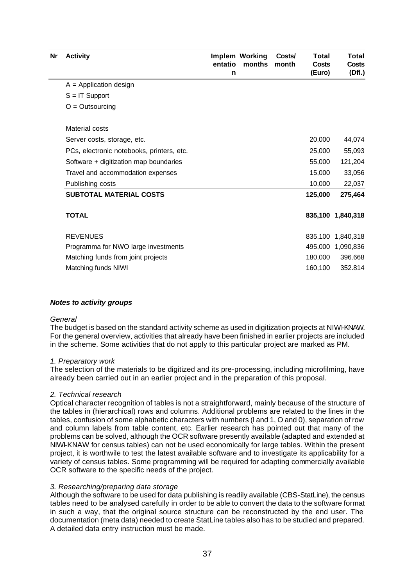| Nr | <b>Activity</b>                           | entatio<br>n | <b>Implem Working</b><br>months | Costs/<br>month | Total<br><b>Costs</b><br>(Euro) | Total<br>Costs<br>(Df.) |
|----|-------------------------------------------|--------------|---------------------------------|-----------------|---------------------------------|-------------------------|
|    | $A =$ Application design                  |              |                                 |                 |                                 |                         |
|    | $S = IT$ Support                          |              |                                 |                 |                                 |                         |
|    | $O =$ Outsourcing                         |              |                                 |                 |                                 |                         |
|    | Material costs                            |              |                                 |                 |                                 |                         |
|    | Server costs, storage, etc.               |              |                                 |                 | 20,000                          | 44,074                  |
|    | PCs, electronic notebooks, printers, etc. |              |                                 |                 | 25,000                          | 55,093                  |
|    | Software + digitization map boundaries    |              |                                 |                 | 55,000                          | 121,204                 |
|    | Travel and accommodation expenses         |              |                                 |                 | 15,000                          | 33,056                  |
|    | Publishing costs                          |              |                                 |                 | 10,000                          | 22,037                  |
|    | <b>SUBTOTAL MATERIAL COSTS</b>            |              |                                 |                 | 125,000                         | 275,464                 |
|    | <b>TOTAL</b>                              |              |                                 |                 |                                 | 835,100 1,840,318       |
|    | <b>REVENUES</b>                           |              |                                 |                 |                                 | 835,100 1,840,318       |
|    | Programma for NWO large investments       |              |                                 |                 |                                 | 495,000 1,090,836       |
|    | Matching funds from joint projects        |              |                                 |                 | 180,000                         | 396.668                 |
|    | Matching funds NIWI                       |              |                                 |                 | 160,100                         | 352.814                 |

#### *Notes to activity groups*

#### *General*

The budget is based on the standard activity scheme as used in digitization projects at NIWI-KNAW. For the general overview, activities that already have been finished in earlier projects are included in the scheme. Some activities that do not apply to this particular project are marked as PM.

#### *1. Preparatory work*

The selection of the materials to be digitized and its pre-processing, including microfilming, have already been carried out in an earlier project and in the preparation of this proposal.

#### *2. Technical research*

Optical character recognition of tables is not a straightforward, mainly because of the structure of the tables in (hierarchical) rows and columns. Additional problems are related to the lines in the tables, confusion of some alphabetic characters with numbers (l and 1, O and 0), separation of row and column labels from table content, etc. Earlier research has pointed out that many of the problems can be solved, although the OCR software presently available (adapted and extended at NIWI-KNAW for census tables) can not be used economically for large tables. Within the present project, it is worthwile to test the latest available software and to investigate its applicability for a variety of census tables. Some programming will be required for adapting commercially available OCR software to the specific needs of the project.

#### *3. Researching/preparing data storage*

Although the software to be used for data publishing is readily available (CBS-StatLine), the census tables need to be analysed carefully in order to be able to convert the data to the software format in such a way, that the original source structure can be reconstructed by the end user. The documentation (meta data) needed to create StatLine tables also has to be studied and prepared. A detailed data entry instruction must be made.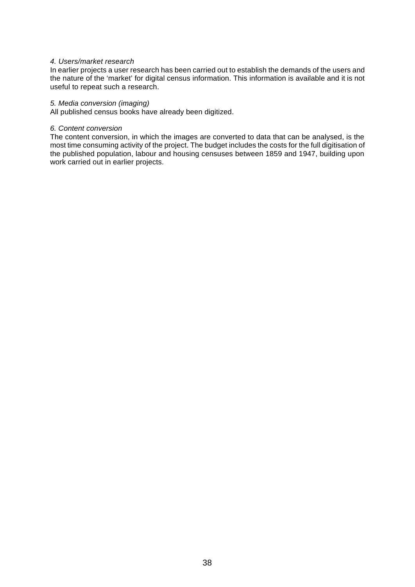#### *4. Users/market research*

In earlier projects a user research has been carried out to establish the demands of the users and the nature of the 'market' for digital census information. This information is available and it is not useful to repeat such a research.

#### *5. Media conversion (imaging)*

All published census books have already been digitized.

#### *6. Content conversion*

The content conversion, in which the images are converted to data that can be analysed, is the most time consuming activity of the project. The budget includes the costs for the full digitisation of the published population, labour and housing censuses between 1859 and 1947, building upon work carried out in earlier projects.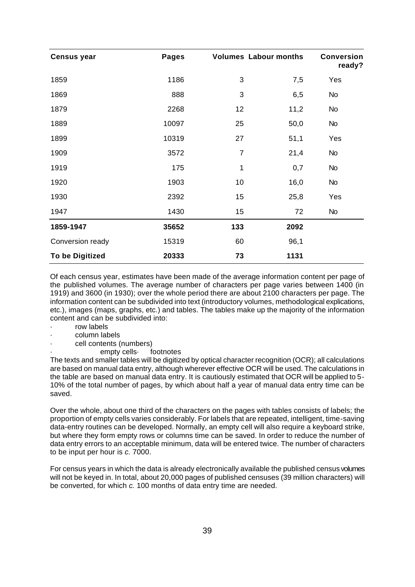| <b>Census year</b>     | Pages |                | <b>Volumes Labour months</b> | <b>Conversion</b><br>ready? |
|------------------------|-------|----------------|------------------------------|-----------------------------|
| 1859                   | 1186  | 3              | 7,5                          | Yes                         |
| 1869                   | 888   | 3              | 6,5                          | No                          |
| 1879                   | 2268  | 12             | 11,2                         | No                          |
| 1889                   | 10097 | 25             | 50,0                         | <b>No</b>                   |
| 1899                   | 10319 | 27             | 51,1                         | Yes                         |
| 1909                   | 3572  | $\overline{7}$ | 21,4                         | <b>No</b>                   |
| 1919                   | 175   | 1              | 0,7                          | No                          |
| 1920                   | 1903  | 10             | 16,0                         | No                          |
| 1930                   | 2392  | 15             | 25,8                         | Yes                         |
| 1947                   | 1430  | 15             | 72                           | <b>No</b>                   |
| 1859-1947              | 35652 | 133            | 2092                         |                             |
| Conversion ready       | 15319 | 60             | 96,1                         |                             |
| <b>To be Digitized</b> | 20333 | 73             | 1131                         |                             |

Of each census year, estimates have been made of the average information content per page of the published volumes. The average number of characters per page varies between 1400 (in 1919) and 3600 (in 1930); over the whole period there are about 2100 characters per page. The information content can be subdivided into text (introductory volumes, methodological explications, etc.), images (maps, graphs, etc.) and tables. The tables make up the majority of the information content and can be subdivided into:

- · row labels
- · column labels
- cell contents (numbers)
	- empty cells footnotes

The texts and smaller tables will be digitized by optical character recognition (OCR); all calculations are based on manual data entry, although wherever effective OCR will be used. The calculations in the table are based on manual data entry. It is cautiously estimated that OCR will be applied to 5- 10% of the total number of pages, by which about half a year of manual data entry time can be saved.

Over the whole, about one third of the characters on the pages with tables consists of labels; the proportion of empty cells varies considerably. For labels that are repeated, intelligent, time-saving data-entry routines can be developed. Normally, an empty cell will also require a keyboard strike, but where they form empty rows or columns time can be saved. In order to reduce the number of data entry errors to an acceptable minimum, data will be entered twice. The number of characters to be input per hour is *c.* 7000.

For census years in which the data is already electronically available the published census volumes will not be keyed in. In total, about 20,000 pages of published censuses (39 million characters) will be converted, for which *c.* 100 months of data entry time are needed.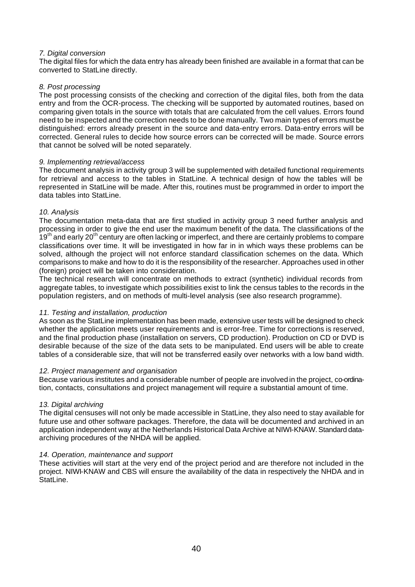#### *7. Digital conversion*

The digital files for which the data entry has already been finished are available in a format that can be converted to StatLine directly.

#### *8. Post processing*

The post processing consists of the checking and correction of the digital files, both from the data entry and from the OCR-process. The checking will be supported by automated routines, based on comparing given totals in the source with totals that are calculated from the cell values. Errors found need to be inspected and the correction needs to be done manually. Two main types of errors must be distinguished: errors already present in the source and data-entry errors. Data-entry errors will be corrected. General rules to decide how source errors can be corrected will be made. Source errors that cannot be solved will be noted separately.

#### *9. Implementing retrieval/access*

The document analysis in activity group 3 will be supplemented with detailed functional requirements for retrieval and access to the tables in StatLine. A technical design of how the tables will be represented in StatLine will be made. After this, routines must be programmed in order to import the data tables into StatLine.

#### *10. Analysis*

The documentation meta-data that are first studied in activity group 3 need further analysis and processing in order to give the end user the maximum benefit of the data. The classifications of the  $19<sup>th</sup>$  and early 20<sup>th</sup> century are often lacking or imperfect, and there are certainly problems to compare classifications over time. It will be investigated in how far in in which ways these problems can be solved, although the project will not enforce standard classification schemes on the data. Which comparisons to make and how to do it is the responsibility of the researcher. Approaches used in other (foreign) project will be taken into consideration.

The technical research will concentrate on methods to extract (synthetic) individual records from aggregate tables, to investigate which possibilities exist to link the census tables to the records in the population registers, and on methods of multi-level analysis (see also research programme).

#### *11. Testing and installation, production*

As soon as the StatLine implementation has been made, extensive user tests will be designed to check whether the application meets user requirements and is error-free. Time for corrections is reserved, and the final production phase (installation on servers, CD production). Production on CD or DVD is desirable because of the size of the data sets to be manipulated. End users will be able to create tables of a considerable size, that will not be transferred easily over networks with a low band width.

#### *12. Project management and organisation*

Because various institutes and a considerable number of people are involved in the project, co-ordination, contacts, consultations and project management will require a substantial amount of time.

#### *13. Digital archiving*

The digital censuses will not only be made accessible in StatLine, they also need to stay available for future use and other software packages. Therefore, the data will be documented and archived in an application independent way at the Netherlands Historical Data Archive at NIWI-KNAW. Standard dataarchiving procedures of the NHDA will be applied.

#### *14. Operation, maintenance and support*

These activities will start at the very end of the project period and are therefore not included in the project. NIWI-KNAW and CBS will ensure the availability of the data in respectively the NHDA and in StatLine.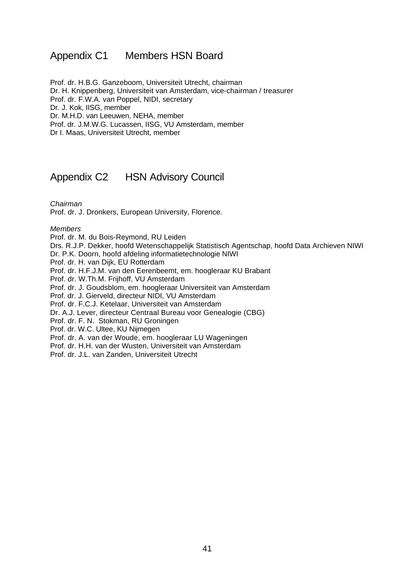# Appendix C1 Members HSN Board

Prof. dr. H.B.G. Ganzeboom, Universiteit Utrecht, chairman Dr. H. Knippenberg, Universiteit van Amsterdam, vice-chairman / treasurer Prof. dr. F.W.A. van Poppel, NIDI, secretary Dr. J. Kok, IISG, member Dr. M.H.D. van Leeuwen, NEHA, member Prof. dr. J.M.W.G. Lucassen, IISG, VU Amsterdam, member Dr I. Maas, Universiteit Utrecht, member

# Appendix C2 HSN Advisory Council

*Chairman*

Prof. dr. J. Dronkers, European University, Florence.

*Members*

Prof. dr. M. du Bois-Reymond, RU Leiden

Drs. R.J.P. Dekker, hoofd Wetenschappelijk Statistisch Agentschap, hoofd Data Archieven NIWI

Dr. P.K. Doorn, hoofd afdeling informatietechnologie NIWI

Prof. dr. H. van Dijk, EU Rotterdam

Prof. dr. H.F.J.M. van den Eerenbeemt, em. hoogleraar KU Brabant

Prof. dr. W.Th.M. Frijhoff, VU Amsterdam

Prof. dr. J. Goudsblom, em. hoogleraar Universiteit van Amsterdam

Prof. dr. J. Gierveld, directeur NIDI, VU Amsterdam

Prof. dr. F.C.J. Ketelaar, Universiteit van Amsterdam

Dr. A.J. Lever, directeur Centraal Bureau voor Genealogie (CBG)

Prof. dr. F. N. Stokman, RU Groningen

Prof. dr. W.C. Ultee, KU Nijmegen

Prof. dr. A. van der Woude, em. hoogleraar LU Wageningen

Prof. dr. H.H. van der Wusten, Universiteit van Amsterdam

Prof. dr. J.L. van Zanden, Universiteit Utrecht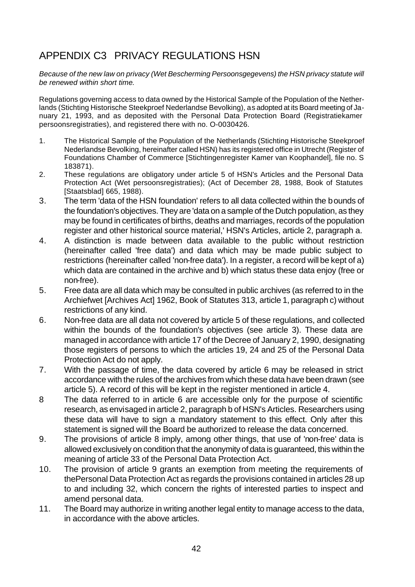# APPENDIX C3 PRIVACY REGULATIONS HSN

*Because of the new law on privacy (Wet Bescherming Persoonsgegevens) the HSN privacy statute will be renewed within short time.*

Regulations governing access to data owned by the Historical Sample of the Population of the Netherlands (Stichting Historische Steekproef Nederlandse Bevolking), as adopted at its Board meeting of January 21, 1993, and as deposited with the Personal Data Protection Board (Registratiekamer persoonsregistraties), and registered there with no. O-0030426.

- 1. The Historical Sample of the Population of the Netherlands (Stichting Historische Steekproef Nederlandse Bevolking, hereinafter called HSN) has its registered office in Utrecht (Register of Foundations Chamber of Commerce [Stichtingenregister Kamer van Koophandel], file no. S 183871).
- 2. These regulations are obligatory under article 5 of HSN's Articles and the Personal Data Protection Act (Wet persoonsregistraties); (Act of December 28, 1988, Book of Statutes [Staatsblad] 665, 1988).
- 3. The term 'data of the HSN foundation' refers to all data collected within the bounds of the foundation's objectives. They are 'data on a sample of the Dutch population, as they may be found in certificates of births, deaths and marriages, records of the population register and other historical source material,' HSN's Articles, article 2, paragraph a.
- 4. A distinction is made between data available to the public without restriction (hereinafter called 'free data') and data which may be made public subject to restrictions (hereinafter called 'non-free data'). In a register, a record will be kept of a) which data are contained in the archive and b) which status these data enjoy (free or non-free).
- 5. Free data are all data which may be consulted in public archives (as referred to in the Archiefwet [Archives Act] 1962, Book of Statutes 313, article 1, paragraph c) without restrictions of any kind.
- 6. Non-free data are all data not covered by article 5 of these regulations, and collected within the bounds of the foundation's objectives (see article 3). These data are managed in accordance with article 17 of the Decree of January 2, 1990, designating those registers of persons to which the articles 19, 24 and 25 of the Personal Data Protection Act do not apply.
- 7. With the passage of time, the data covered by article 6 may be released in strict accordance with the rules of the archives from which these data have been drawn (see article 5). A record of this will be kept in the register mentioned in article 4.
- 8 The data referred to in article 6 are accessible only for the purpose of scientific research, as envisaged in article 2, paragraph b of HSN's Articles. Researchers using these data will have to sign a mandatory statement to this effect. Only after this statement is signed will the Board be authorized to release the data concerned.
- 9. The provisions of article 8 imply, among other things, that use of 'non-free' data is allowed exclusively on condition that the anonymity of data is guaranteed, this within the meaning of article 33 of the Personal Data Protection Act.
- 10. The provision of article 9 grants an exemption from meeting the requirements of thePersonal Data Protection Act as regards the provisions contained in articles 28 up to and including 32, which concern the rights of interested parties to inspect and amend personal data.
- 11. The Board may authorize in writing another legal entity to manage access to the data, in accordance with the above articles.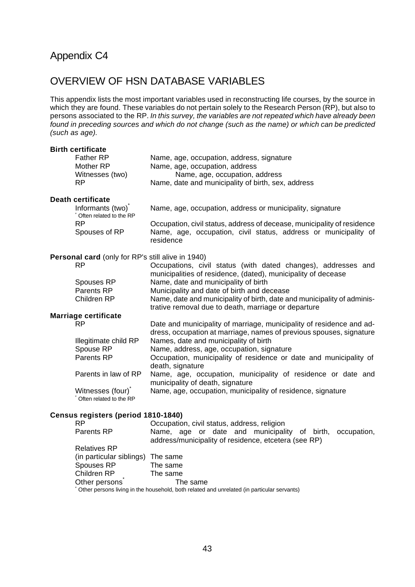# Appendix C4

# OVERVIEW OF HSN DATABASE VARIABLES

This appendix lists the most important variables used in reconstructing life courses, by the source in which they are found. These variables do not pertain solely to the Research Person (RP), but also to persons associated to the RP. *In this survey, the variables are not repeated which have already been found in preceding sources and which do not change (such as the name) or which can be predicted (such as age).*

| <b>Birth certificate</b><br><b>Father RP</b><br>Mother RP<br>Witnesses (two)<br><b>RP</b>             | Name, age, occupation, address, signature<br>Name, age, occupation, address<br>Name, age, occupation, address<br>Name, date and municipality of birth, sex, address                                                                                                                   |
|-------------------------------------------------------------------------------------------------------|---------------------------------------------------------------------------------------------------------------------------------------------------------------------------------------------------------------------------------------------------------------------------------------|
|                                                                                                       |                                                                                                                                                                                                                                                                                       |
| <b>Death certificate</b><br>Informants (two)<br>Often related to the RP<br><b>RP</b><br>Spouses of RP | Name, age, occupation, address or municipality, signature<br>Occupation, civil status, address of decease, municipality of residence<br>Name, age, occupation, civil status, address or municipality of<br>residence                                                                  |
|                                                                                                       |                                                                                                                                                                                                                                                                                       |
| <b>Personal card</b> (only for RP's still alive in 1940)                                              |                                                                                                                                                                                                                                                                                       |
| <b>RP</b>                                                                                             | Occupations, civil status (with dated changes), addresses and                                                                                                                                                                                                                         |
| Spouses RP<br>Parents RP<br>Children RP                                                               | municipalities of residence, (dated), municipality of decease<br>Name, date and municipality of birth<br>Municipality and date of birth and decease<br>Name, date and municipality of birth, date and municipality of adminis-<br>trative removal due to death, marriage or departure |
| <b>Marriage certificate</b>                                                                           |                                                                                                                                                                                                                                                                                       |
| <b>RP</b>                                                                                             | Date and municipality of marriage, municipality of residence and ad-<br>dress, occupation at marriage, names of previous spouses, signature                                                                                                                                           |
| Illegitimate child RP                                                                                 | Names, date and municipality of birth                                                                                                                                                                                                                                                 |
| Spouse RP                                                                                             | Name, address, age, occupation, signature                                                                                                                                                                                                                                             |
| Parents RP                                                                                            | Occupation, municipality of residence or date and municipality of<br>death, signature                                                                                                                                                                                                 |
| Parents in law of RP                                                                                  | Name, age, occupation, municipality of residence or date and<br>municipality of death, signature                                                                                                                                                                                      |
| Witnesses (four)<br>Often related to the RP                                                           | Name, age, occupation, municipality of residence, signature                                                                                                                                                                                                                           |
|                                                                                                       |                                                                                                                                                                                                                                                                                       |
| Census registers (period 1810-1840)<br>RP                                                             | Occupation civil status address religion                                                                                                                                                                                                                                              |

#### Jccupation, civil status, address, religion Parents RP Mame, age or date and municipality of birth, occupation, address/municipality of residence, etcetera (see RP) Relatives RP (in particular siblings) The same Spouses RP The same Children RP The same Other persons<sup>\*</sup> The same \*